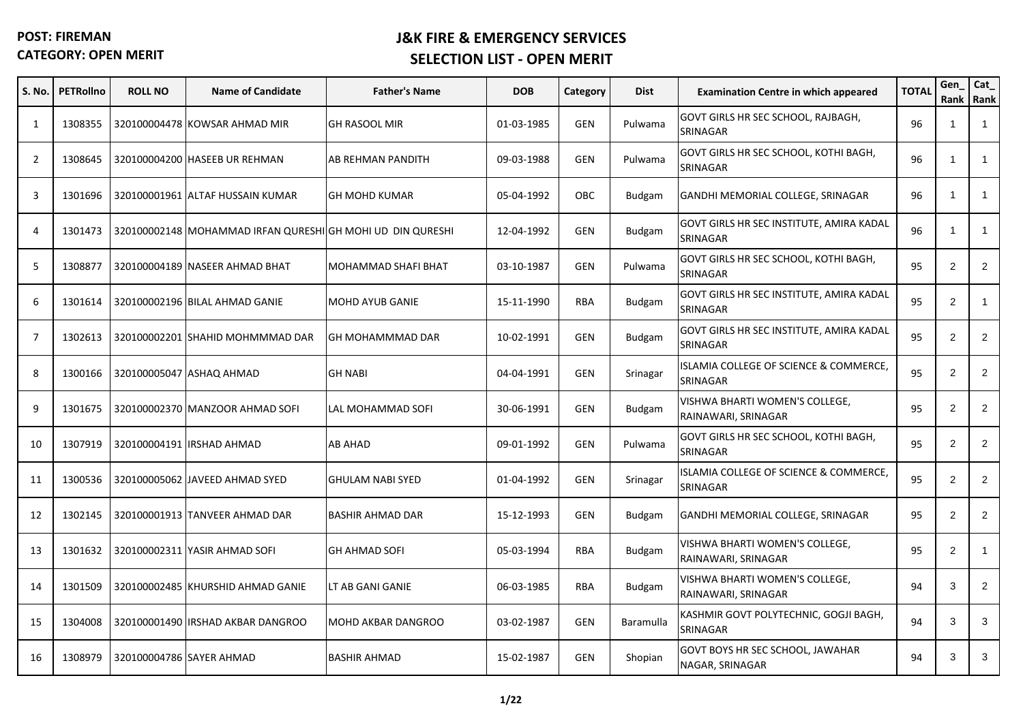| S. No.         | <b>PETRollno</b> | <b>ROLL NO</b>           | <b>Name of Candidate</b>                                   | <b>Father's Name</b>      | <b>DOB</b> | Category   | <b>Dist</b>      | <b>Examination Centre in which appeared</b>           | <b>TOTAL</b> | Gen            | Cat_<br>Rank Rank |
|----------------|------------------|--------------------------|------------------------------------------------------------|---------------------------|------------|------------|------------------|-------------------------------------------------------|--------------|----------------|-------------------|
| 1              | 1308355          |                          | 320100004478 KOWSAR AHMAD MIR                              | <b>GH RASOOL MIR</b>      | 01-03-1985 | <b>GEN</b> | Pulwama          | GOVT GIRLS HR SEC SCHOOL, RAJBAGH,<br>SRINAGAR        | 96           | -1             | $\mathbf{1}$      |
| $\overline{2}$ | 1308645          |                          | 320100004200 HASEEB UR REHMAN                              | AB REHMAN PANDITH         | 09-03-1988 | <b>GEN</b> | Pulwama          | GOVT GIRLS HR SEC SCHOOL, KOTHI BAGH,<br>SRINAGAR     | 96           | $\overline{1}$ | $\mathbf{1}$      |
| 3              | 1301696          |                          | 320100001961 ALTAF HUSSAIN KUMAR                           | <b>GH MOHD KUMAR</b>      | 05-04-1992 | OBC        | Budgam           | GANDHI MEMORIAL COLLEGE, SRINAGAR                     | 96           | $\overline{1}$ | $\mathbf{1}$      |
| 4              | 1301473          |                          | 320100002148 MOHAMMAD IRFAN QURESHI GH MOHI UD DIN QURESHI |                           | 12-04-1992 | <b>GEN</b> | Budgam           | GOVT GIRLS HR SEC INSTITUTE, AMIRA KADAL<br>SRINAGAR  | 96           | $\mathbf 1$    | 1                 |
| 5              | 1308877          |                          | 320100004189 NASEER AHMAD BHAT                             | MOHAMMAD SHAFI BHAT       | 03-10-1987 | <b>GEN</b> | Pulwama          | GOVT GIRLS HR SEC SCHOOL, KOTHI BAGH,<br>SRINAGAR     | 95           | $\overline{2}$ | $\overline{2}$    |
| 6              | 1301614          |                          | 320100002196 BILAL AHMAD GANIE                             | <b>MOHD AYUB GANIE</b>    | 15-11-1990 | <b>RBA</b> | <b>Budgam</b>    | GOVT GIRLS HR SEC INSTITUTE, AMIRA KADAL<br>SRINAGAR  | 95           | $\overline{2}$ | $\mathbf{1}$      |
| 7              | 1302613          |                          | 320100002201 SHAHID MOHMMMAD DAR                           | GH MOHAMMMAD DAR          | 10-02-1991 | GEN        | <b>Budgam</b>    | GOVT GIRLS HR SEC INSTITUTE, AMIRA KADAL<br>SRINAGAR  | 95           | $\overline{2}$ | $\overline{2}$    |
| 8              | 1300166          |                          | 320100005047 ASHAQ AHMAD                                   | <b>GH NABI</b>            | 04-04-1991 | <b>GEN</b> | Srinagar         | ISLAMIA COLLEGE OF SCIENCE & COMMERCE,<br>SRINAGAR    | 95           | $\overline{2}$ | $\overline{2}$    |
| 9              | 1301675          |                          | 320100002370 MANZOOR AHMAD SOFI                            | LAL MOHAMMAD SOFI         | 30-06-1991 | GEN        | <b>Budgam</b>    | VISHWA BHARTI WOMEN'S COLLEGE,<br>RAINAWARI, SRINAGAR | 95           | $\overline{2}$ | $\overline{2}$    |
| 10             | 1307919          |                          | 320100004191 IRSHAD AHMAD                                  | <b>AB AHAD</b>            | 09-01-1992 | <b>GEN</b> | Pulwama          | GOVT GIRLS HR SEC SCHOOL, KOTHI BAGH,<br>SRINAGAR     | 95           | $\overline{2}$ | $\overline{2}$    |
| 11             | 1300536          |                          | 320100005062 JAVEED AHMAD SYED                             | <b>GHULAM NABI SYED</b>   | 01-04-1992 | GEN        | Srinagar         | ISLAMIA COLLEGE OF SCIENCE & COMMERCE,<br>SRINAGAR    | 95           | $\overline{2}$ | $\overline{2}$    |
| 12             | 1302145          |                          | 320100001913 TANVEER AHMAD DAR                             | <b>BASHIR AHMAD DAR</b>   | 15-12-1993 | GEN        | <b>Budgam</b>    | GANDHI MEMORIAL COLLEGE, SRINAGAR                     | 95           | $\overline{2}$ | $\overline{2}$    |
| 13             | 1301632          |                          | 320100002311 YASIR AHMAD SOFI                              | <b>GH AHMAD SOFI</b>      | 05-03-1994 | RBA        | Budgam           | VISHWA BHARTI WOMEN'S COLLEGE,<br>RAINAWARI, SRINAGAR | 95           | $\overline{2}$ | 1                 |
| 14             | 1301509          |                          | 320100002485 KHURSHID AHMAD GANIE                          | LT AB GANI GANIE          | 06-03-1985 | <b>RBA</b> | <b>Budgam</b>    | VISHWA BHARTI WOMEN'S COLLEGE,<br>RAINAWARI, SRINAGAR | 94           | 3              | $\overline{2}$    |
| 15             | 1304008          |                          | 320100001490 IRSHAD AKBAR DANGROO                          | <b>MOHD AKBAR DANGROO</b> | 03-02-1987 | <b>GEN</b> | <b>Baramulla</b> | KASHMIR GOVT POLYTECHNIC, GOGJI BAGH,<br>SRINAGAR     | 94           | 3              | 3                 |
| 16             | 1308979          | 320100004786 SAYER AHMAD |                                                            | <b>BASHIR AHMAD</b>       | 15-02-1987 | GEN        | Shopian          | GOVT BOYS HR SEC SCHOOL, JAWAHAR<br>NAGAR, SRINAGAR   | 94           | 3              | 3                 |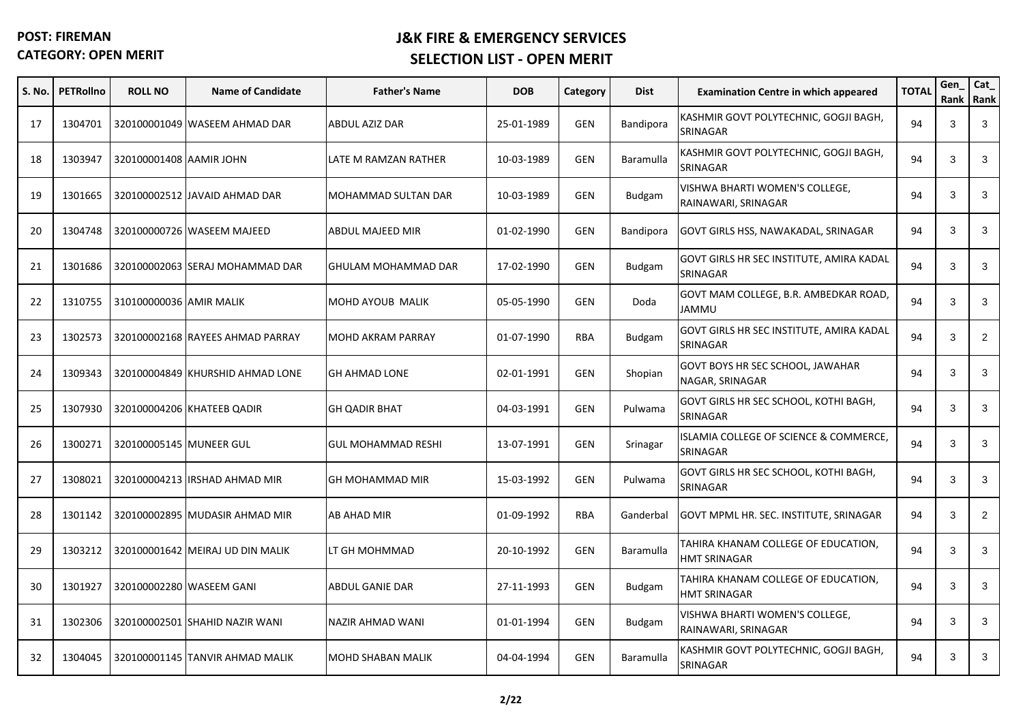| S. No. | <b>PETRollno</b> | <b>ROLL NO</b>          | <b>Name of Candidate</b>         | <b>Father's Name</b>      | <b>DOB</b> | Category   | <b>Dist</b>   | <b>Examination Centre in which appeared</b>                | <b>TOTAL</b> | Gen<br>Rank | Cat_<br>Rank   |
|--------|------------------|-------------------------|----------------------------------|---------------------------|------------|------------|---------------|------------------------------------------------------------|--------------|-------------|----------------|
| 17     | 1304701          |                         | 320100001049 WASEEM AHMAD DAR    | ABDUL AZIZ DAR            | 25-01-1989 | <b>GEN</b> | Bandipora     | KASHMIR GOVT POLYTECHNIC, GOGJI BAGH,<br>SRINAGAR          | 94           | 3           | 3              |
| 18     | 1303947          | 320100001408 AAMIR JOHN |                                  | LATE M RAMZAN RATHER      | 10-03-1989 | GEN        | Baramulla     | KASHMIR GOVT POLYTECHNIC, GOGJI BAGH,<br>SRINAGAR          | 94           | 3           | 3              |
| 19     | 1301665          |                         | 320100002512 JAVAID AHMAD DAR    | MOHAMMAD SULTAN DAR       | 10-03-1989 | <b>GEN</b> | <b>Budgam</b> | VISHWA BHARTI WOMEN'S COLLEGE,<br>RAINAWARI, SRINAGAR      | 94           | 3           | 3              |
| 20     | 1304748          |                         | 320100000726 WASEEM MAJEED       | ABDUL MAJEED MIR          | 01-02-1990 | GEN        | Bandipora     | GOVT GIRLS HSS, NAWAKADAL, SRINAGAR                        | 94           | 3           | 3              |
| 21     | 1301686          |                         | 320100002063 SERAJ MOHAMMAD DAR  | GHULAM MOHAMMAD DAR       | 17-02-1990 | GEN        | <b>Budgam</b> | GOVT GIRLS HR SEC INSTITUTE, AMIRA KADAL<br>SRINAGAR       | 94           | 3           | 3              |
| 22     | 1310755          | 310100000036 AMIR MALIK |                                  | MOHD AYOUB MALIK          | 05-05-1990 | <b>GEN</b> | Doda          | GOVT MAM COLLEGE, B.R. AMBEDKAR ROAD,<br>JAMMU             | 94           | 3           | 3              |
| 23     | 1302573          |                         | 320100002168 RAYEES AHMAD PARRAY | <b>MOHD AKRAM PARRAY</b>  | 01-07-1990 | <b>RBA</b> | <b>Budgam</b> | GOVT GIRLS HR SEC INSTITUTE, AMIRA KADAL<br>SRINAGAR       | 94           | 3           | $\overline{2}$ |
| 24     | 1309343          |                         | 320100004849 KHURSHID AHMAD LONE | <b>GH AHMAD LONE</b>      | 02-01-1991 | <b>GEN</b> | Shopian       | GOVT BOYS HR SEC SCHOOL, JAWAHAR<br>NAGAR, SRINAGAR        | 94           | 3           | 3              |
| 25     | 1307930          |                         | 320100004206 KHATEEB QADIR       | GH QADIR BHAT             | 04-03-1991 | <b>GEN</b> | Pulwama       | GOVT GIRLS HR SEC SCHOOL, KOTHI BAGH,<br>SRINAGAR          | 94           | 3           | 3              |
| 26     | 1300271          | 320100005145 MUNEER GUL |                                  | <b>GUL MOHAMMAD RESHI</b> | 13-07-1991 | <b>GEN</b> | Srinagar      | ISLAMIA COLLEGE OF SCIENCE & COMMERCE,<br>SRINAGAR         | 94           | 3           | 3              |
| 27     | 1308021          |                         | 320100004213 IRSHAD AHMAD MIR    | <b>GH MOHAMMAD MIR</b>    | 15-03-1992 | <b>GEN</b> | Pulwama       | GOVT GIRLS HR SEC SCHOOL, KOTHI BAGH,<br>SRINAGAR          | 94           | 3           | 3              |
| 28     | 1301142          |                         | 320100002895 MUDASIR AHMAD MIR   | <b>AB AHAD MIR</b>        | 01-09-1992 | <b>RBA</b> | Ganderbal     | GOVT MPML HR. SEC. INSTITUTE, SRINAGAR                     | 94           | 3           | $\overline{2}$ |
| 29     | 1303212          |                         | 320100001642 MEIRAJ UD DIN MALIK | LT GH MOHMMAD             | 20-10-1992 | GEN        | Baramulla     | TAHIRA KHANAM COLLEGE OF EDUCATION,<br><b>HMT SRINAGAR</b> | 94           | 3           | 3              |
| 30     | 1301927          |                         | 320100002280 WASEEM GANI         | <b>ABDUL GANIE DAR</b>    | 27-11-1993 | GEN        | Budgam        | TAHIRA KHANAM COLLEGE OF EDUCATION,<br><b>HMT SRINAGAR</b> | 94           | 3           | 3              |
| 31     | 1302306          |                         | 320100002501 SHAHID NAZIR WANI   | NAZIR AHMAD WANI          | 01-01-1994 | GEN        | Budgam        | VISHWA BHARTI WOMEN'S COLLEGE,<br>RAINAWARI, SRINAGAR      | 94           | 3           | 3              |
| 32     | 1304045          |                         | 320100001145 TANVIR AHMAD MALIK  | <b>MOHD SHABAN MALIK</b>  | 04-04-1994 | GEN        | Baramulla     | KASHMIR GOVT POLYTECHNIC, GOGJI BAGH,<br>SRINAGAR          | 94           | 3           | 3              |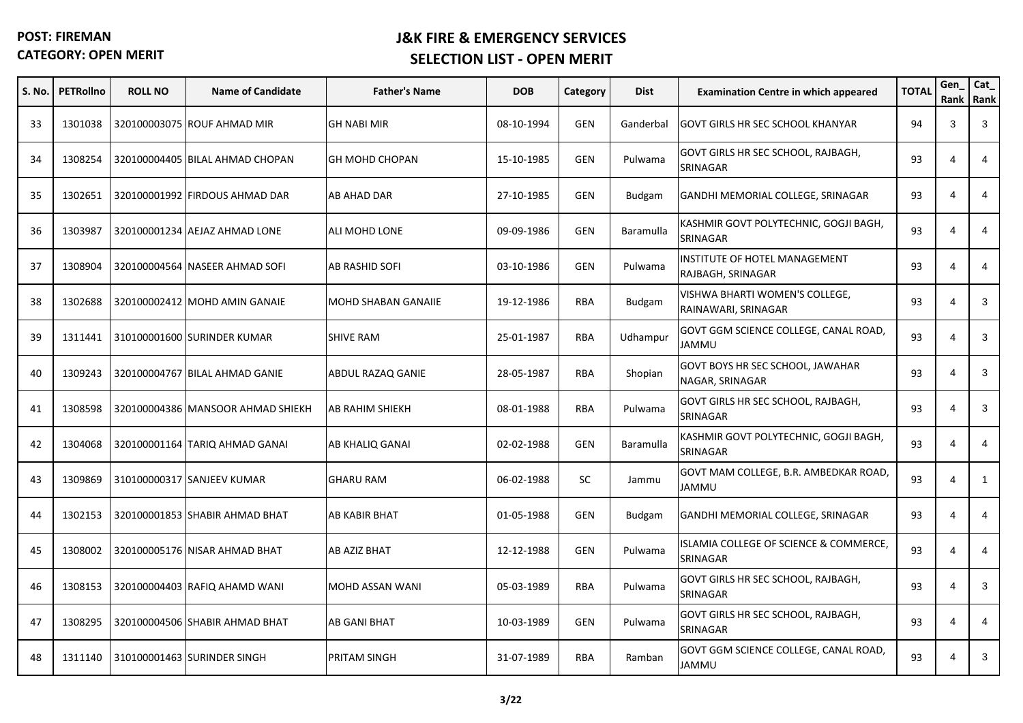| S. No. | <b>PETRollno</b> | <b>ROLL NO</b> | <b>Name of Candidate</b>          | <b>Father's Name</b>  | <b>DOB</b> | Category   | <b>Dist</b>      | <b>Examination Centre in which appeared</b>                   | <b>TOTAL</b> | Gen<br>Rank           | Cat_<br>Rank |
|--------|------------------|----------------|-----------------------------------|-----------------------|------------|------------|------------------|---------------------------------------------------------------|--------------|-----------------------|--------------|
| 33     | 1301038          |                | 320100003075 ROUF AHMAD MIR       | <b>GH NABI MIR</b>    | 08-10-1994 | <b>GEN</b> | Ganderbal        | <b>GOVT GIRLS HR SEC SCHOOL KHANYAR</b>                       | 94           | 3                     | 3            |
| 34     | 1308254          |                | 320100004405 BILAL AHMAD CHOPAN   | <b>GH MOHD CHOPAN</b> | 15-10-1985 | <b>GEN</b> | Pulwama          | GOVT GIRLS HR SEC SCHOOL, RAJBAGH,<br>SRINAGAR                | 93           | $\overline{4}$        | 4            |
| 35     | 1302651          |                | 320100001992 FIRDOUS AHMAD DAR    | AB AHAD DAR           | 27-10-1985 | <b>GEN</b> | <b>Budgam</b>    | GANDHI MEMORIAL COLLEGE, SRINAGAR                             | 93           | $\overline{4}$        | 4            |
| 36     | 1303987          |                | 320100001234 AEJAZ AHMAD LONE     | ALI MOHD LONE         | 09-09-1986 | <b>GEN</b> | Baramulla        | KASHMIR GOVT POLYTECHNIC, GOGJI BAGH,<br>SRINAGAR             | 93           | 4                     | 4            |
| 37     | 1308904          |                | 320100004564 NASEER AHMAD SOFI    | AB RASHID SOFI        | 03-10-1986 | <b>GEN</b> | Pulwama          | INSTITUTE OF HOTEL MANAGEMENT<br>RAJBAGH, SRINAGAR            | 93           | $\overline{4}$        | 4            |
| 38     | 1302688          |                | 320100002412 MOHD AMIN GANAIE     | MOHD SHABAN GANAIIE   | 19-12-1986 | <b>RBA</b> | Budgam           | VISHWA BHARTI WOMEN'S COLLEGE,<br>RAINAWARI, SRINAGAR         | 93           | $\overline{4}$        | 3            |
| 39     | 1311441          |                | 310100001600 SURINDER KUMAR       | <b>SHIVE RAM</b>      | 25-01-1987 | <b>RBA</b> | Udhampur         | GOVT GGM SCIENCE COLLEGE, CANAL ROAD,<br>UMMAL                | 93           | $\overline{4}$        | 3            |
| 40     | 1309243          |                | 320100004767 BILAL AHMAD GANIE    | ABDUL RAZAQ GANIE     | 28-05-1987 | <b>RBA</b> | Shopian          | GOVT BOYS HR SEC SCHOOL, JAWAHAR<br>NAGAR, SRINAGAR           | 93           | $\overline{4}$        | 3            |
| 41     | 1308598          |                | 320100004386 MANSOOR AHMAD SHIEKH | AB RAHIM SHIEKH       | 08-01-1988 | <b>RBA</b> | Pulwama          | GOVT GIRLS HR SEC SCHOOL, RAJBAGH,<br>SRINAGAR                | 93           | $\overline{4}$        | 3            |
| 42     | 1304068          |                | 320100001164 TARIQ AHMAD GANAI    | AB KHALIQ GANAI       | 02-02-1988 | <b>GEN</b> | <b>Baramulla</b> | KASHMIR GOVT POLYTECHNIC, GOGJI BAGH,<br>SRINAGAR             | 93           | $\overline{4}$        | 4            |
| 43     | 1309869          |                | 310100000317 SANJEEV KUMAR        | <b>GHARU RAM</b>      | 06-02-1988 | <b>SC</b>  | Jammu            | GOVT MAM COLLEGE, B.R. AMBEDKAR ROAD,<br>JAMMU                | 93           | $\overline{4}$        | $\mathbf{1}$ |
| 44     | 1302153          |                | 320100001853 SHABIR AHMAD BHAT    | AB KABIR BHAT         | 01-05-1988 | <b>GEN</b> | <b>Budgam</b>    | GANDHI MEMORIAL COLLEGE, SRINAGAR                             | 93           | 4                     | 4            |
| 45     | 1308002          |                | 320100005176 NISAR AHMAD BHAT     | AB AZIZ BHAT          | 12-12-1988 | <b>GEN</b> | Pulwama          | <b>ISLAMIA COLLEGE OF SCIENCE &amp; COMMERCE,</b><br>SRINAGAR | 93           | $\overline{4}$        | 4            |
| 46     | 1308153          |                | 320100004403 RAFIQ AHAMD WANI     | MOHD ASSAN WANI       | 05-03-1989 | <b>RBA</b> | Pulwama          | GOVT GIRLS HR SEC SCHOOL, RAJBAGH,<br>SRINAGAR                | 93           | $\overline{4}$        | 3            |
| 47     | 1308295          |                | 320100004506 SHABIR AHMAD BHAT    | <b>AB GANI BHAT</b>   | 10-03-1989 | <b>GEN</b> | Pulwama          | GOVT GIRLS HR SEC SCHOOL, RAJBAGH,<br>SRINAGAR                | 93           | $\overline{4}$        | 4            |
| 48     | 1311140          |                | 310100001463 SURINDER SINGH       | PRITAM SINGH          | 31-07-1989 | <b>RBA</b> | Ramban           | GOVT GGM SCIENCE COLLEGE, CANAL ROAD,<br>JAMMU                | 93           | $\boldsymbol{\Delta}$ | 3            |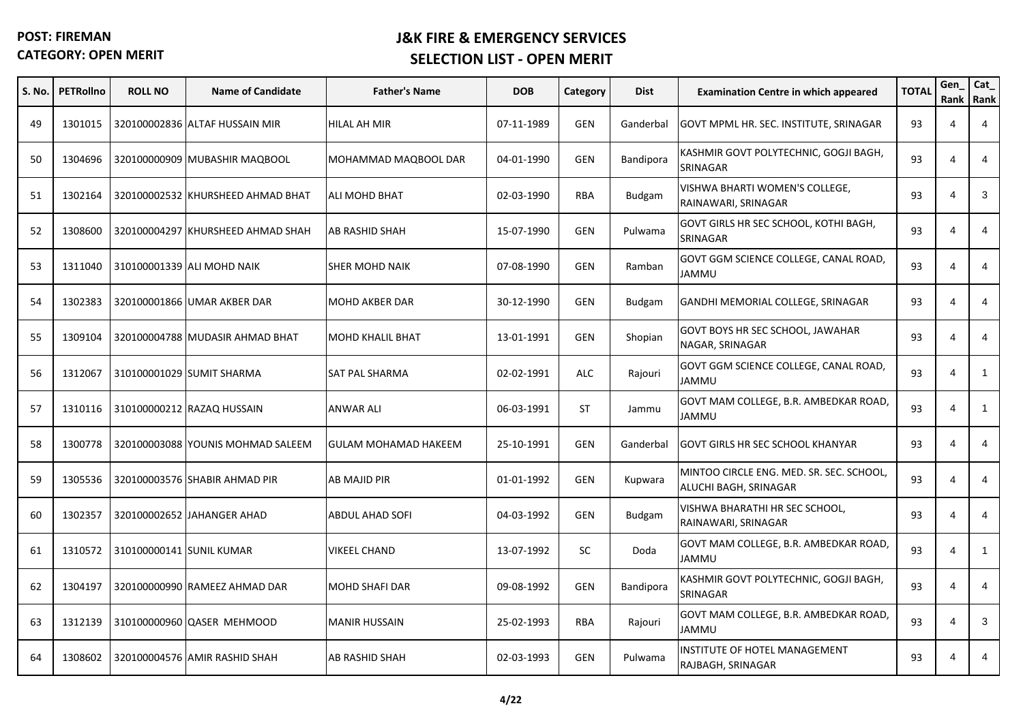| S. No. | <b>PETRollno</b> | <b>ROLL NO</b>           | <b>Name of Candidate</b>          | <b>Father's Name</b>        | <b>DOB</b> | Category   | <b>Dist</b>      | <b>Examination Centre in which appeared</b>                       | <b>TOTAL</b> | Gen<br>Rank             | Cat_<br>Rank |
|--------|------------------|--------------------------|-----------------------------------|-----------------------------|------------|------------|------------------|-------------------------------------------------------------------|--------------|-------------------------|--------------|
| 49     | 1301015          |                          | 320100002836 ALTAF HUSSAIN MIR    | HILAL AH MIR                | 07-11-1989 | <b>GEN</b> | Ganderbal        | GOVT MPML HR. SEC. INSTITUTE, SRINAGAR                            | 93           | $\overline{4}$          | 4            |
| 50     | 1304696          |                          | 320100000909 MUBASHIR MAQBOOL     | MOHAMMAD MAQBOOL DAR        | 04-01-1990 | <b>GEN</b> | Bandipora        | KASHMIR GOVT POLYTECHNIC, GOGJI BAGH,<br>SRINAGAR                 | 93           | $\overline{4}$          | 4            |
| 51     | 1302164          |                          | 320100002532 KHURSHEED AHMAD BHAT | <b>ALI MOHD BHAT</b>        | 02-03-1990 | <b>RBA</b> | <b>Budgam</b>    | VISHWA BHARTI WOMEN'S COLLEGE,<br>RAINAWARI, SRINAGAR             | 93           | $\overline{\mathbf{A}}$ | 3            |
| 52     | 1308600          |                          | 320100004297 KHURSHEED AHMAD SHAH | AB RASHID SHAH              | 15-07-1990 | <b>GEN</b> | Pulwama          | GOVT GIRLS HR SEC SCHOOL, KOTHI BAGH,<br>SRINAGAR                 | 93           | $\overline{4}$          | 4            |
| 53     | 1311040          |                          | 310100001339 ALI MOHD NAIK        | SHER MOHD NAIK              | 07-08-1990 | GEN        | Ramban           | GOVT GGM SCIENCE COLLEGE, CANAL ROAD,<br>JAMMU                    | 93           | $\overline{4}$          | 4            |
| 54     | 1302383          |                          | 320100001866 UMAR AKBER DAR       | <b>MOHD AKBER DAR</b>       | 30-12-1990 | <b>GEN</b> | <b>Budgam</b>    | GANDHI MEMORIAL COLLEGE, SRINAGAR                                 | 93           | $\overline{4}$          | 4            |
| 55     | 1309104          |                          | 320100004788 MUDASIR AHMAD BHAT   | <b>MOHD KHALIL BHAT</b>     | 13-01-1991 | <b>GEN</b> | Shopian          | GOVT BOYS HR SEC SCHOOL, JAWAHAR<br>NAGAR, SRINAGAR               | 93           | $\overline{4}$          | 4            |
| 56     | 1312067          |                          | 310100001029 SUMIT SHARMA         | SAT PAL SHARMA              | 02-02-1991 | <b>ALC</b> | Rajouri          | GOVT GGM SCIENCE COLLEGE, CANAL ROAD,<br>JAMMU                    | 93           | $\overline{4}$          | $\mathbf{1}$ |
| 57     | 1310116          |                          | 310100000212 RAZAQ HUSSAIN        | <b>ANWAR ALI</b>            | 06-03-1991 | ST         | Jammu            | GOVT MAM COLLEGE, B.R. AMBEDKAR ROAD,<br>JAMMU                    | 93           | $\overline{4}$          | $\mathbf{1}$ |
| 58     | 1300778          |                          | 320100003088 YOUNIS MOHMAD SALEEM | <b>GULAM MOHAMAD HAKEEM</b> | 25-10-1991 | <b>GEN</b> | Ganderbal        | <b>GOVT GIRLS HR SEC SCHOOL KHANYAR</b>                           | 93           | $\overline{4}$          | 4            |
| 59     | 1305536          |                          | 320100003576 SHABIR AHMAD PIR     | AB MAJID PIR                | 01-01-1992 | <b>GEN</b> | Kupwara          | MINTOO CIRCLE ENG. MED. SR. SEC. SCHOOL,<br>ALUCHI BAGH, SRINAGAR | 93           | $\overline{4}$          | 4            |
| 60     | 1302357          |                          | 320100002652 JAHANGER AHAD        | <b>ABDUL AHAD SOFI</b>      | 04-03-1992 | <b>GEN</b> | <b>Budgam</b>    | VISHWA BHARATHI HR SEC SCHOOL,<br>RAINAWARI, SRINAGAR             | 93           | $\overline{4}$          | 4            |
| 61     | 1310572          | 310100000141 SUNIL KUMAR |                                   | VIKEEL CHAND                | 13-07-1992 | SC         | Doda             | GOVT MAM COLLEGE, B.R. AMBEDKAR ROAD,<br>JAMMU                    | 93           | $\overline{4}$          | $\mathbf{1}$ |
| 62     | 1304197          |                          | 320100000990 RAMEEZ AHMAD DAR     | MOHD SHAFI DAR              | 09-08-1992 | <b>GEN</b> | <b>Bandipora</b> | KASHMIR GOVT POLYTECHNIC, GOGJI BAGH,<br>SRINAGAR                 | 93           | $\overline{4}$          | 4            |
| 63     | 1312139          |                          | 310100000960 QASER MEHMOOD        | <b>MANIR HUSSAIN</b>        | 25-02-1993 | <b>RBA</b> | Rajouri          | GOVT MAM COLLEGE, B.R. AMBEDKAR ROAD,<br>JAMMU                    | 93           | $\overline{4}$          | 3            |
| 64     | 1308602          |                          | 320100004576 AMIR RASHID SHAH     | AB RASHID SHAH              | 02-03-1993 | <b>GEN</b> | Pulwama          | INSTITUTE OF HOTEL MANAGEMENT<br>RAJBAGH, SRINAGAR                | 93           | $\boldsymbol{\Delta}$   | 4            |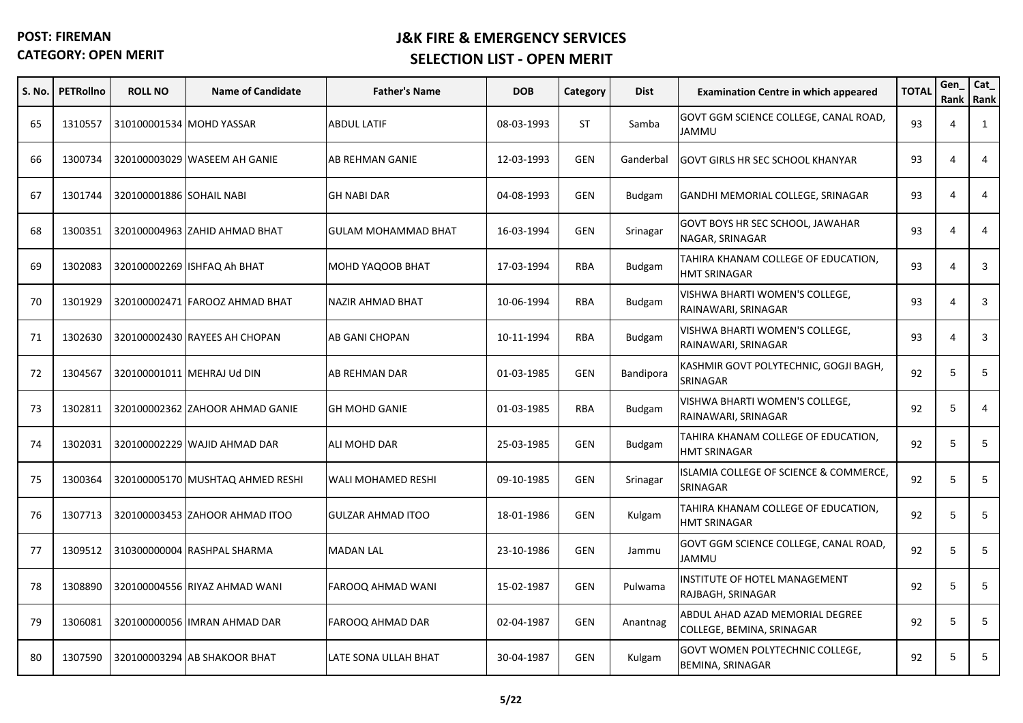| S. No. | <b>PETRollno</b> | <b>ROLL NO</b>           | <b>Name of Candidate</b>         | <b>Father's Name</b>       | <b>DOB</b> | Category   | <b>Dist</b>   | <b>Examination Centre in which appeared</b>                  | <b>TOTAL</b> | Gen<br>Rank Rank | Cat_           |
|--------|------------------|--------------------------|----------------------------------|----------------------------|------------|------------|---------------|--------------------------------------------------------------|--------------|------------------|----------------|
| 65     | 1310557          |                          | 310100001534 MOHD YASSAR         | <b>ABDUL LATIF</b>         | 08-03-1993 | ST         | Samba         | GOVT GGM SCIENCE COLLEGE, CANAL ROAD,<br>JAMMU               | 93           | 4                | $\mathbf{1}$   |
| 66     | 1300734          |                          | 320100003029 WASEEM AH GANIE     | AB REHMAN GANIE            | 12-03-1993 | <b>GEN</b> | Ganderbal     | GOVT GIRLS HR SEC SCHOOL KHANYAR                             | 93           | $\overline{4}$   | $\overline{4}$ |
| 67     | 1301744          | 320100001886 SOHAIL NABI |                                  | <b>GH NABI DAR</b>         | 04-08-1993 | <b>GEN</b> | <b>Budgam</b> | GANDHI MEMORIAL COLLEGE, SRINAGAR                            | 93           | $\overline{4}$   | 4              |
| 68     | 1300351          |                          | 320100004963 ZAHID AHMAD BHAT    | <b>GULAM MOHAMMAD BHAT</b> | 16-03-1994 | <b>GEN</b> | Srinagar      | GOVT BOYS HR SEC SCHOOL, JAWAHAR<br>NAGAR, SRINAGAR          | 93           | $\overline{4}$   | 4              |
| 69     | 1302083          |                          | 320100002269 ISHFAQ Ah BHAT      | MOHD YAQOOB BHAT           | 17-03-1994 | <b>RBA</b> | Budgam        | TAHIRA KHANAM COLLEGE OF EDUCATION,<br><b>HMT SRINAGAR</b>   | 93           | $\overline{4}$   | 3              |
| 70     | 1301929          |                          | 320100002471 FAROOZ AHMAD BHAT   | NAZIR AHMAD BHAT           | 10-06-1994 | <b>RBA</b> | Budgam        | VISHWA BHARTI WOMEN'S COLLEGE,<br>RAINAWARI, SRINAGAR        | 93           | $\overline{4}$   | 3              |
| 71     | 1302630          |                          | 320100002430 RAYEES AH CHOPAN    | AB GANI CHOPAN             | 10-11-1994 | <b>RBA</b> | Budgam        | VISHWA BHARTI WOMEN'S COLLEGE,<br>RAINAWARI, SRINAGAR        | 93           | $\overline{4}$   | 3              |
| 72     | 1304567          |                          | 320100001011 MEHRAJ Ud DIN       | AB REHMAN DAR              | 01-03-1985 | <b>GEN</b> | Bandipora     | KASHMIR GOVT POLYTECHNIC, GOGJI BAGH,<br>SRINAGAR            | 92           | 5                | 5              |
| 73     | 1302811          |                          | 320100002362 ZAHOOR AHMAD GANIE  | <b>GH MOHD GANIE</b>       | 01-03-1985 | <b>RBA</b> | <b>Budgam</b> | VISHWA BHARTI WOMEN'S COLLEGE,<br>RAINAWARI, SRINAGAR        | 92           | $\,$ 5 $\,$      | 4              |
| 74     | 1302031          |                          | 320100002229 WAJID AHMAD DAR     | <b>ALI MOHD DAR</b>        | 25-03-1985 | <b>GEN</b> | <b>Budgam</b> | TAHIRA KHANAM COLLEGE OF EDUCATION,<br>HMT SRINAGAR          | 92           | $\,$ 5 $\,$      | 5              |
| 75     | 1300364          |                          | 320100005170 MUSHTAQ AHMED RESHI | WALI MOHAMED RESHI         | 09-10-1985 | <b>GEN</b> | Srinagar      | ISLAMIA COLLEGE OF SCIENCE & COMMERCE,<br>SRINAGAR           | 92           | 5                | 5              |
| 76     | 1307713          |                          | 320100003453 ZAHOOR AHMAD ITOO   | <b>GULZAR AHMAD ITOO</b>   | 18-01-1986 | <b>GEN</b> | Kulgam        | TAHIRA KHANAM COLLEGE OF EDUCATION,<br><b>HMT SRINAGAR</b>   | 92           | 5                | 5              |
| 77     | 1309512          |                          | 310300000004 RASHPAL SHARMA      | <b>MADAN LAL</b>           | 23-10-1986 | <b>GEN</b> | Jammu         | GOVT GGM SCIENCE COLLEGE, CANAL ROAD,<br>JAMMU               | 92           | 5                | 5              |
| 78     | 1308890          |                          | 320100004556 RIYAZ AHMAD WANI    | FAROOQ AHMAD WANI          | 15-02-1987 | <b>GEN</b> | Pulwama       | INSTITUTE OF HOTEL MANAGEMENT<br>RAJBAGH, SRINAGAR           | 92           | 5                | 5              |
| 79     | 1306081          |                          | 320100000056 IMRAN AHMAD DAR     | FAROOQ AHMAD DAR           | 02-04-1987 | <b>GEN</b> | Anantnag      | ABDUL AHAD AZAD MEMORIAL DEGREE<br>COLLEGE, BEMINA, SRINAGAR | 92           | 5                | 5              |
| 80     | 1307590          |                          | 320100003294 AB SHAKOOR BHAT     | LATE SONA ULLAH BHAT       | 30-04-1987 | <b>GEN</b> | Kulgam        | GOVT WOMEN POLYTECHNIC COLLEGE,<br>BEMINA, SRINAGAR          | 92           | 5                | 5              |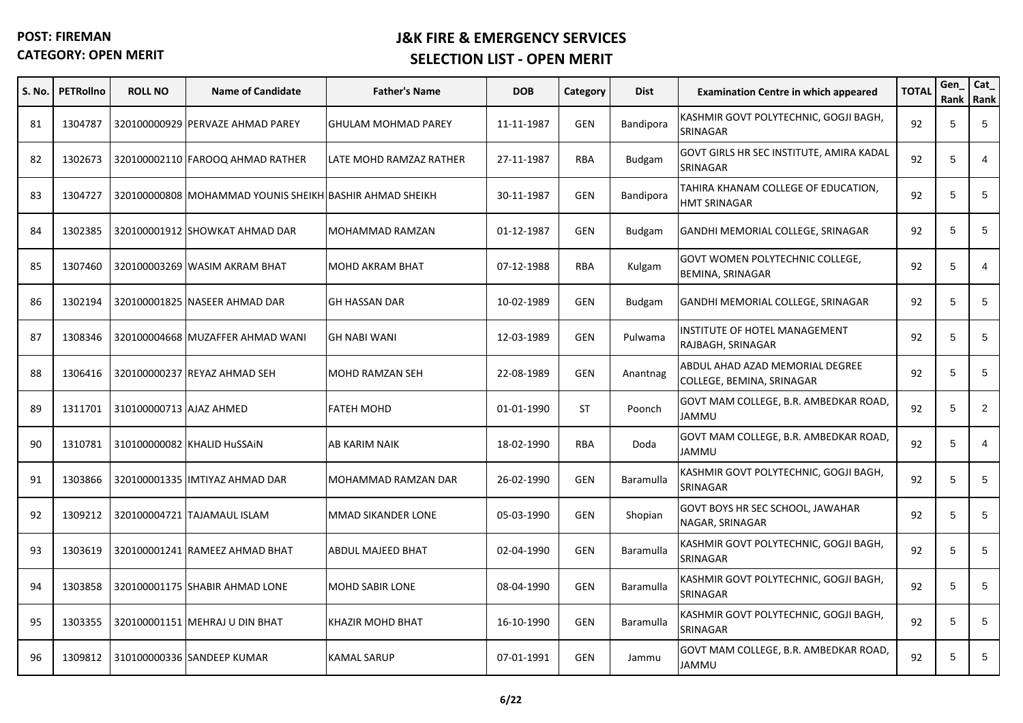| S. No. | <b>PETRollno</b> | <b>ROLL NO</b>          | <b>Name of Candidate</b>                                | <b>Father's Name</b>       | <b>DOB</b> | Category   | <b>Dist</b>      | <b>Examination Centre in which appeared</b>                  | <b>TOTAL</b> | Gen | Cat_<br>Rank Rank |
|--------|------------------|-------------------------|---------------------------------------------------------|----------------------------|------------|------------|------------------|--------------------------------------------------------------|--------------|-----|-------------------|
| 81     | 1304787          |                         | 320100000929 PERVAZE AHMAD PAREY                        | <b>GHULAM MOHMAD PAREY</b> | 11-11-1987 | <b>GEN</b> | Bandipora        | KASHMIR GOVT POLYTECHNIC, GOGJI BAGH,<br>SRINAGAR            | 92           | 5   | 5                 |
| 82     | 1302673          |                         | 320100002110 FAROOQ AHMAD RATHER                        | LATE MOHD RAMZAZ RATHER    | 27-11-1987 | <b>RBA</b> | Budgam           | GOVT GIRLS HR SEC INSTITUTE, AMIRA KADAL<br>SRINAGAR         | 92           | 5   | $\overline{4}$    |
| 83     | 1304727          |                         | 320100000808 MOHAMMAD YOUNIS SHEIKH BASHIR AHMAD SHEIKH |                            | 30-11-1987 | <b>GEN</b> | <b>Bandipora</b> | TAHIRA KHANAM COLLEGE OF EDUCATION,<br><b>HMT SRINAGAR</b>   | 92           | 5   | 5                 |
| 84     | 1302385          |                         | 320100001912 SHOWKAT AHMAD DAR                          | MOHAMMAD RAMZAN            | 01-12-1987 | <b>GEN</b> | <b>Budgam</b>    | GANDHI MEMORIAL COLLEGE, SRINAGAR                            | 92           | 5   | 5                 |
| 85     | 1307460          |                         | 320100003269 WASIM AKRAM BHAT                           | <b>MOHD AKRAM BHAT</b>     | 07-12-1988 | RBA        | Kulgam           | GOVT WOMEN POLYTECHNIC COLLEGE,<br>BEMINA, SRINAGAR          | 92           | 5   | 4                 |
| 86     | 1302194          |                         | 320100001825 NASEER AHMAD DAR                           | <b>GH HASSAN DAR</b>       | 10-02-1989 | <b>GEN</b> | <b>Budgam</b>    | GANDHI MEMORIAL COLLEGE, SRINAGAR                            | 92           | 5   | 5                 |
| 87     | 1308346          |                         | 320100004668 MUZAFFER AHMAD WANI                        | <b>GH NABI WANI</b>        | 12-03-1989 | <b>GEN</b> | Pulwama          | INSTITUTE OF HOTEL MANAGEMENT<br>RAJBAGH, SRINAGAR           | 92           | 5   | 5                 |
| 88     | 1306416          |                         | 320100000237 REYAZ AHMAD SEH                            | <b>MOHD RAMZAN SEH</b>     | 22-08-1989 | <b>GEN</b> | Anantnag         | ABDUL AHAD AZAD MEMORIAL DEGREE<br>COLLEGE, BEMINA, SRINAGAR | 92           | 5   | 5                 |
| 89     | 1311701          | 310100000713 AJAZ AHMED |                                                         | <b>FATEH MOHD</b>          | 01-01-1990 | <b>ST</b>  | Poonch           | GOVT MAM COLLEGE, B.R. AMBEDKAR ROAD,<br><b>JAMMU</b>        | 92           | 5   | $\overline{2}$    |
| 90     | 1310781          |                         | 310100000082 KHALID HuSSAIN                             | AB KARIM NAIK              | 18-02-1990 | <b>RBA</b> | Doda             | GOVT MAM COLLEGE, B.R. AMBEDKAR ROAD,<br><b>UMMAL</b>        | 92           | 5   | $\overline{4}$    |
| 91     | 1303866          |                         | 320100001335 IMTIYAZ AHMAD DAR                          | MOHAMMAD RAMZAN DAR        | 26-02-1990 | <b>GEN</b> | Baramulla        | KASHMIR GOVT POLYTECHNIC, GOGJI BAGH,<br>SRINAGAR            | 92           | 5   | 5                 |
| 92     | 1309212          |                         | 320100004721 TAJAMAUL ISLAM                             | MMAD SIKANDER LONE         | 05-03-1990 | GEN        | Shopian          | GOVT BOYS HR SEC SCHOOL, JAWAHAR<br>NAGAR, SRINAGAR          | 92           | 5   | 5                 |
| 93     | 1303619          |                         | 320100001241 RAMEEZ AHMAD BHAT                          | <b>ABDUL MAJEED BHAT</b>   | 02-04-1990 | <b>GEN</b> | Baramulla        | KASHMIR GOVT POLYTECHNIC, GOGJI BAGH,<br>SRINAGAR            | 92           | 5   | 5                 |
| 94     | 1303858          |                         | 320100001175 SHABIR AHMAD LONE                          | <b>MOHD SABIR LONE</b>     | 08-04-1990 | <b>GEN</b> | <b>Baramulla</b> | KASHMIR GOVT POLYTECHNIC, GOGJI BAGH,<br>SRINAGAR            | 92           | 5   | 5                 |
| 95     | 1303355          |                         | 320100001151 MEHRAJ U DIN BHAT                          | KHAZIR MOHD BHAT           | 16-10-1990 | <b>GEN</b> | Baramulla        | KASHMIR GOVT POLYTECHNIC, GOGJI BAGH,<br>SRINAGAR            | 92           | 5   | 5                 |
| 96     | 1309812          |                         | 310100000336 SANDEEP KUMAR                              | <b>KAMAL SARUP</b>         | 07-01-1991 | <b>GEN</b> | Jammu            | GOVT MAM COLLEGE, B.R. AMBEDKAR ROAD,<br>JAMMU               | 92           | 5   | 5                 |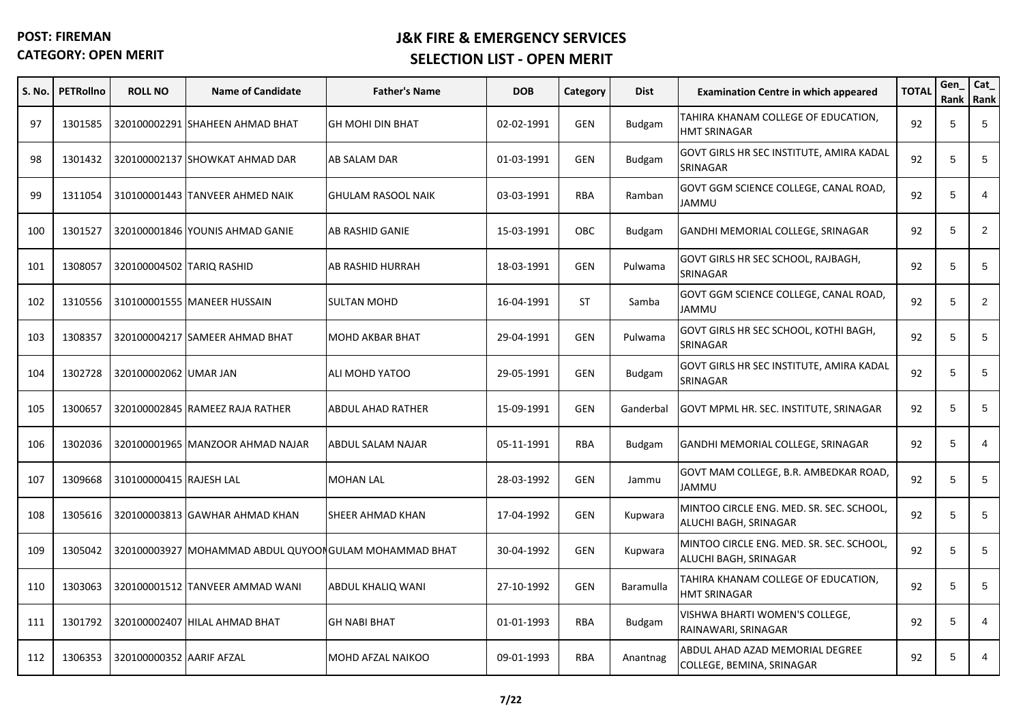| S. No. | <b>PETRollno</b> | <b>ROLL NO</b>            | <b>Name of Candidate</b>                              | <b>Father's Name</b>      | <b>DOB</b> | Category   | <b>Dist</b>   | <b>Examination Centre in which appeared</b>                       | <b>TOTAL</b> | Gen<br>Rank Rank | Cat_           |
|--------|------------------|---------------------------|-------------------------------------------------------|---------------------------|------------|------------|---------------|-------------------------------------------------------------------|--------------|------------------|----------------|
| 97     | 1301585          |                           | 320100002291 SHAHEEN AHMAD BHAT                       | <b>GH MOHI DIN BHAT</b>   | 02-02-1991 | <b>GEN</b> | <b>Budgam</b> | TAHIRA KHANAM COLLEGE OF EDUCATION,<br>HMT SRINAGAR               | 92           | 5                | 5              |
| 98     | 1301432          |                           | 320100002137 SHOWKAT AHMAD DAR                        | AB SALAM DAR              | 01-03-1991 | <b>GEN</b> | <b>Budgam</b> | GOVT GIRLS HR SEC INSTITUTE, AMIRA KADAL<br>SRINAGAR              | 92           | 5                | 5              |
| 99     | 1311054          |                           | 310100001443 TANVEER AHMED NAIK                       | <b>GHULAM RASOOL NAIK</b> | 03-03-1991 | <b>RBA</b> | Ramban        | GOVT GGM SCIENCE COLLEGE, CANAL ROAD,<br>UMMAL                    | 92           | 5                | $\overline{4}$ |
| 100    | 1301527          |                           | 320100001846 YOUNIS AHMAD GANIE                       | AB RASHID GANIE           | 15-03-1991 | <b>OBC</b> | <b>Budgam</b> | GANDHI MEMORIAL COLLEGE, SRINAGAR                                 | 92           | 5                | $\overline{2}$ |
| 101    | 1308057          | 320100004502 TARIQ RASHID |                                                       | AB RASHID HURRAH          | 18-03-1991 | <b>GEN</b> | Pulwama       | GOVT GIRLS HR SEC SCHOOL, RAJBAGH,<br>SRINAGAR                    | 92           | 5                | 5              |
| 102    | 1310556          |                           | 310100001555 MANEER HUSSAIN                           | <b>SULTAN MOHD</b>        | 16-04-1991 | ST         | Samba         | GOVT GGM SCIENCE COLLEGE, CANAL ROAD,<br>JAMMU                    | 92           | 5                | $\overline{2}$ |
| 103    | 1308357          |                           | 320100004217 SAMEER AHMAD BHAT                        | <b>MOHD AKBAR BHAT</b>    | 29-04-1991 | <b>GEN</b> | Pulwama       | GOVT GIRLS HR SEC SCHOOL, KOTHI BAGH,<br>SRINAGAR                 | 92           | 5                | 5              |
| 104    | 1302728          | 320100002062 UMAR JAN     |                                                       | ALI MOHD YATOO            | 29-05-1991 | <b>GEN</b> | <b>Budgam</b> | GOVT GIRLS HR SEC INSTITUTE, AMIRA KADAL<br>SRINAGAR              | 92           | 5                | 5              |
| 105    | 1300657          |                           | 320100002845 RAMEEZ RAJA RATHER                       | <b>ABDUL AHAD RATHER</b>  | 15-09-1991 | <b>GEN</b> | Ganderbal     | GOVT MPML HR. SEC. INSTITUTE, SRINAGAR                            | 92           | 5                | 5              |
| 106    | 1302036          |                           | 320100001965 MANZOOR AHMAD NAJAR                      | ABDUL SALAM NAJAR         | 05-11-1991 | <b>RBA</b> | <b>Budgam</b> | GANDHI MEMORIAL COLLEGE, SRINAGAR                                 | 92           | 5                | $\overline{4}$ |
| 107    | 1309668          | 310100000415 RAJESH LAL   |                                                       | <b>MOHAN LAL</b>          | 28-03-1992 | <b>GEN</b> | Jammu         | GOVT MAM COLLEGE, B.R. AMBEDKAR ROAD,<br>UMMAL                    | 92           | 5                | 5              |
| 108    | 1305616          |                           | 320100003813 GAWHAR AHMAD KHAN                        | SHEER AHMAD KHAN          | 17-04-1992 | <b>GEN</b> | Kupwara       | MINTOO CIRCLE ENG. MED. SR. SEC. SCHOOL,<br>ALUCHI BAGH, SRINAGAR | 92           | 5                | 5              |
| 109    | 1305042          |                           | 320100003927 MOHAMMAD ABDUL QUYOONGULAM MOHAMMAD BHAT |                           | 30-04-1992 | <b>GEN</b> | Kupwara       | MINTOO CIRCLE ENG. MED. SR. SEC. SCHOOL,<br>ALUCHI BAGH, SRINAGAR | 92           | 5                | 5              |
| 110    | 1303063          |                           | 320100001512 TANVEER AMMAD WANI                       | ABDUL KHALIQ WANI         | 27-10-1992 | <b>GEN</b> | Baramulla     | TAHIRA KHANAM COLLEGE OF EDUCATION,<br>HMT SRINAGAR               | 92           | 5                | 5              |
| 111    | 1301792          |                           | 320100002407 HILAL AHMAD BHAT                         | <b>GH NABI BHAT</b>       | 01-01-1993 | <b>RBA</b> | <b>Budgam</b> | VISHWA BHARTI WOMEN'S COLLEGE,<br>RAINAWARI, SRINAGAR             | 92           | 5                | 4              |
| 112    | 1306353          | 320100000352 AARIF AFZAL  |                                                       | MOHD AFZAL NAIKOO         | 09-01-1993 | <b>RBA</b> | Anantnag      | ABDUL AHAD AZAD MEMORIAL DEGREE<br>COLLEGE, BEMINA, SRINAGAR      | 92           | 5                | 4              |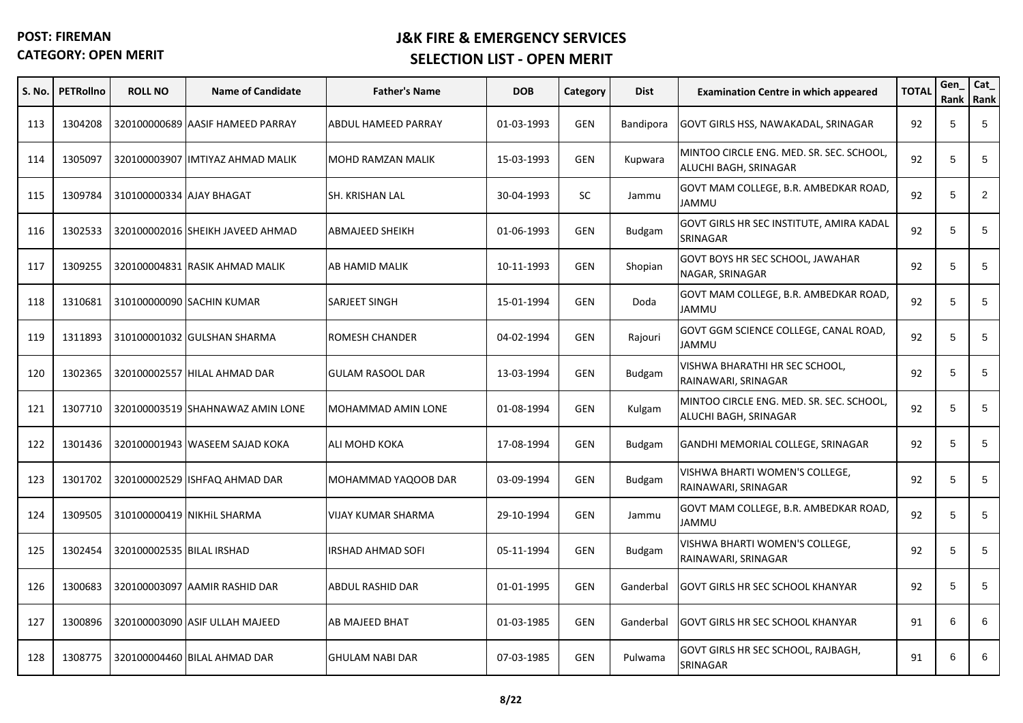| S. No. | <b>PETRollno</b> | <b>ROLL NO</b>            | <b>Name of Candidate</b>         | <b>Father's Name</b>      | <b>DOB</b> | Category   | <b>Dist</b>   | <b>Examination Centre in which appeared</b>                       | <b>TOTAL</b> | Gen<br>Rank | Cat_<br>Rank   |
|--------|------------------|---------------------------|----------------------------------|---------------------------|------------|------------|---------------|-------------------------------------------------------------------|--------------|-------------|----------------|
| 113    | 1304208          |                           | 320100000689 AASIF HAMEED PARRAY | ABDUL HAMEED PARRAY       | 01-03-1993 | <b>GEN</b> | Bandipora     | GOVT GIRLS HSS, NAWAKADAL, SRINAGAR                               | 92           | 5           | 5              |
| 114    | 1305097          |                           | 320100003907 IMTIYAZ AHMAD MALIK | MOHD RAMZAN MALIK         | 15-03-1993 | <b>GEN</b> | Kupwara       | MINTOO CIRCLE ENG. MED. SR. SEC. SCHOOL,<br>ALUCHI BAGH, SRINAGAR | 92           | 5           | 5              |
| 115    | 1309784          | 310100000334 AJAY BHAGAT  |                                  | SH. KRISHAN LAL           | 30-04-1993 | <b>SC</b>  | Jammu         | GOVT MAM COLLEGE, B.R. AMBEDKAR ROAD,<br><b>UMMAL</b>             | 92           | 5           | $\overline{2}$ |
| 116    | 1302533          |                           | 320100002016 SHEIKH JAVEED AHMAD | <b>ABMAJEED SHEIKH</b>    | 01-06-1993 | <b>GEN</b> | <b>Budgam</b> | GOVT GIRLS HR SEC INSTITUTE, AMIRA KADAL<br>SRINAGAR              | 92           | 5           | 5              |
| 117    | 1309255          |                           | 320100004831 RASIK AHMAD MALIK   | AB HAMID MALIK            | 10-11-1993 | <b>GEN</b> | Shopian       | GOVT BOYS HR SEC SCHOOL, JAWAHAR<br>NAGAR, SRINAGAR               | 92           | 5           | 5              |
| 118    | 1310681          |                           | 310100000090 SACHIN KUMAR        | SARJEET SINGH             | 15-01-1994 | <b>GEN</b> | Doda          | GOVT MAM COLLEGE, B.R. AMBEDKAR ROAD,<br>JAMMU                    | 92           | 5           | 5              |
| 119    | 1311893          |                           | 310100001032 GULSHAN SHARMA      | ROMESH CHANDER            | 04-02-1994 | <b>GEN</b> | Rajouri       | GOVT GGM SCIENCE COLLEGE, CANAL ROAD,<br><b>UMMAL</b>             | 92           | 5           | 5              |
| 120    | 1302365          |                           | 320100002557 HILAL AHMAD DAR     | <b>GULAM RASOOL DAR</b>   | 13-03-1994 | <b>GEN</b> | <b>Budgam</b> | VISHWA BHARATHI HR SEC SCHOOL,<br>RAINAWARI, SRINAGAR             | 92           | 5           | 5              |
| 121    | 1307710          |                           | 320100003519 SHAHNAWAZ AMIN LONE | MOHAMMAD AMIN LONE        | 01-08-1994 | <b>GEN</b> | Kulgam        | MINTOO CIRCLE ENG. MED. SR. SEC. SCHOOL,<br>ALUCHI BAGH, SRINAGAR | 92           | $\sqrt{5}$  | 5              |
| 122    | 1301436          |                           | 320100001943 WASEEM SAJAD KOKA   | <b>ALI MOHD KOKA</b>      | 17-08-1994 | <b>GEN</b> | <b>Budgam</b> | GANDHI MEMORIAL COLLEGE, SRINAGAR                                 | 92           | $\sqrt{5}$  | 5              |
| 123    | 1301702          |                           | 320100002529 ISHFAQ AHMAD DAR    | MOHAMMAD YAQOOB DAR       | 03-09-1994 | <b>GEN</b> | Budgam        | VISHWA BHARTI WOMEN'S COLLEGE,<br>RAINAWARI, SRINAGAR             | 92           | 5           | 5              |
| 124    | 1309505          |                           | 310100000419 NIKHIL SHARMA       | <b>VIJAY KUMAR SHARMA</b> | 29-10-1994 | <b>GEN</b> | Jammu         | GOVT MAM COLLEGE, B.R. AMBEDKAR ROAD,<br><b>UMMAL</b>             | 92           | 5           | 5              |
| 125    | 1302454          | 320100002535 BILAL IRSHAD |                                  | <b>IRSHAD AHMAD SOFI</b>  | 05-11-1994 | <b>GEN</b> | <b>Budgam</b> | VISHWA BHARTI WOMEN'S COLLEGE,<br>RAINAWARI, SRINAGAR             | 92           | 5           | 5              |
| 126    | 1300683          |                           | 320100003097 AAMIR RASHID DAR    | ABDUL RASHID DAR          | 01-01-1995 | <b>GEN</b> | Ganderbal     | <b>GOVT GIRLS HR SEC SCHOOL KHANYAR</b>                           | 92           | 5           | 5              |
| 127    | 1300896          |                           | 320100003090 ASIF ULLAH MAJEED   | AB MAJEED BHAT            | 01-03-1985 | <b>GEN</b> | Ganderbal     | <b>GOVT GIRLS HR SEC SCHOOL KHANYAR</b>                           | 91           | 6           | 6              |
| 128    | 1308775          |                           | 320100004460 BILAL AHMAD DAR     | <b>GHULAM NABI DAR</b>    | 07-03-1985 | <b>GEN</b> | Pulwama       | GOVT GIRLS HR SEC SCHOOL, RAJBAGH,<br>SRINAGAR                    | 91           | 6           | 6              |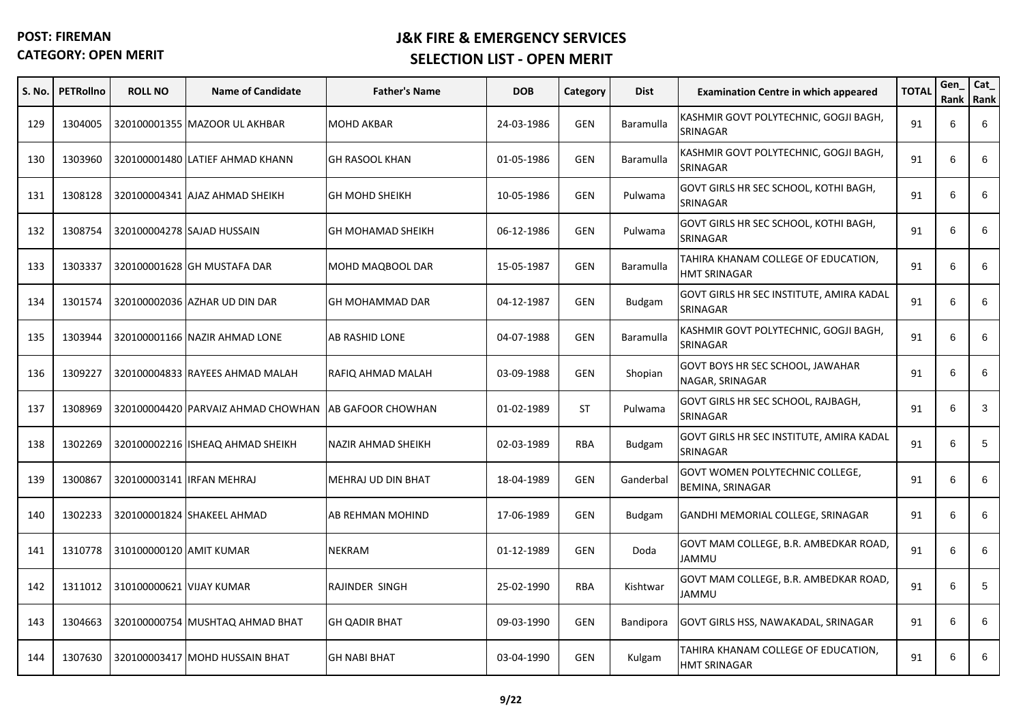| S. No. | <b>PETRollno</b> | <b>ROLL NO</b>           | <b>Name of Candidate</b>                             | <b>Father's Name</b>      | <b>DOB</b> | Category   | <b>Dist</b>      | <b>Examination Centre in which appeared</b>                | <b>TOTAL</b> | Gen<br>Rank Rank | Cat_ |
|--------|------------------|--------------------------|------------------------------------------------------|---------------------------|------------|------------|------------------|------------------------------------------------------------|--------------|------------------|------|
| 129    | 1304005          |                          | 320100001355 MAZOOR UL AKHBAR                        | <b>MOHD AKBAR</b>         | 24-03-1986 | GEN        | Baramulla        | KASHMIR GOVT POLYTECHNIC, GOGJI BAGH,<br>SRINAGAR          | 91           | 6                | 6    |
| 130    | 1303960          |                          | 320100001480 LATIEF AHMAD KHANN                      | <b>GH RASOOL KHAN</b>     | 01-05-1986 | <b>GEN</b> | Baramulla        | KASHMIR GOVT POLYTECHNIC, GOGJI BAGH,<br>SRINAGAR          | 91           | 6                | 6    |
| 131    | 1308128          |                          | 320100004341 AJAZ AHMAD SHEIKH                       | <b>GH MOHD SHEIKH</b>     | 10-05-1986 | <b>GEN</b> | Pulwama          | GOVT GIRLS HR SEC SCHOOL, KOTHI BAGH,<br>SRINAGAR          | 91           | 6                | 6    |
| 132    | 1308754          |                          | 320100004278 SAJAD HUSSAIN                           | <b>GH MOHAMAD SHEIKH</b>  | 06-12-1986 | <b>GEN</b> | Pulwama          | GOVT GIRLS HR SEC SCHOOL, KOTHI BAGH,<br>SRINAGAR          | 91           | 6                | 6    |
| 133    | 1303337          |                          | 320100001628 GH MUSTAFA DAR                          | MOHD MAQBOOL DAR          | 15-05-1987 | <b>GEN</b> | Baramulla        | TAHIRA KHANAM COLLEGE OF EDUCATION,<br><b>HMT SRINAGAR</b> | 91           | 6                | 6    |
| 134    | 1301574          |                          | 320100002036 AZHAR UD DIN DAR                        | GH MOHAMMAD DAR           | 04-12-1987 | <b>GEN</b> | <b>Budgam</b>    | GOVT GIRLS HR SEC INSTITUTE, AMIRA KADAL<br>SRINAGAR       | 91           | 6                | 6    |
| 135    | 1303944          |                          | 320100001166 NAZIR AHMAD LONE                        | AB RASHID LONE            | 04-07-1988 | <b>GEN</b> | Baramulla        | KASHMIR GOVT POLYTECHNIC, GOGJI BAGH,<br>SRINAGAR          | 91           | 6                | 6    |
| 136    | 1309227          |                          | 320100004833 RAYEES AHMAD MALAH                      | RAFIQ AHMAD MALAH         | 03-09-1988 | <b>GEN</b> | Shopian          | GOVT BOYS HR SEC SCHOOL, JAWAHAR<br>NAGAR, SRINAGAR        | 91           | 6                | 6    |
| 137    | 1308969          |                          | 320100004420 PARVAIZ AHMAD CHOWHAN AB GAFOOR CHOWHAN |                           | 01-02-1989 | ST         | Pulwama          | GOVT GIRLS HR SEC SCHOOL, RAJBAGH,<br>SRINAGAR             | 91           | 6                | 3    |
| 138    | 1302269          |                          | 320100002216 ISHEAQ AHMAD SHEIKH                     | NAZIR AHMAD SHEIKH        | 02-03-1989 | <b>RBA</b> | <b>Budgam</b>    | GOVT GIRLS HR SEC INSTITUTE, AMIRA KADAL<br>SRINAGAR       | 91           | 6                | 5    |
| 139    | 1300867          |                          | 320100003141 IRFAN MEHRAJ                            | <b>MEHRAJ UD DIN BHAT</b> | 18-04-1989 | <b>GEN</b> | Ganderbal        | GOVT WOMEN POLYTECHNIC COLLEGE,<br>BEMINA, SRINAGAR        | 91           | 6                | 6    |
| 140    | 1302233          |                          | 320100001824 SHAKEEL AHMAD                           | AB REHMAN MOHIND          | 17-06-1989 | <b>GEN</b> | <b>Budgam</b>    | GANDHI MEMORIAL COLLEGE, SRINAGAR                          | 91           | 6                | 6    |
| 141    | 1310778          | 310100000120 AMIT KUMAR  |                                                      | <b>NEKRAM</b>             | 01-12-1989 | <b>GEN</b> | Doda             | GOVT MAM COLLEGE, B.R. AMBEDKAR ROAD,<br>JAMMU             | 91           | 6                | 6    |
| 142    | 1311012          | 310100000621 VIJAY KUMAR |                                                      | RAJINDER SINGH            | 25-02-1990 | RBA        | Kishtwar         | GOVT MAM COLLEGE, B.R. AMBEDKAR ROAD,<br><b>JAMMU</b>      | 91           | 6                | 5    |
| 143    | 1304663          |                          | 320100000754 MUSHTAQ AHMAD BHAT                      | <b>GH QADIR BHAT</b>      | 09-03-1990 | <b>GEN</b> | <b>Bandipora</b> | GOVT GIRLS HSS, NAWAKADAL, SRINAGAR                        | 91           | 6                | 6    |
| 144    | 1307630          |                          | 320100003417 MOHD HUSSAIN BHAT                       | <b>GH NABI BHAT</b>       | 03-04-1990 | <b>GEN</b> | Kulgam           | TAHIRA KHANAM COLLEGE OF EDUCATION,<br><b>HMT SRINAGAR</b> | 91           | 6                | 6    |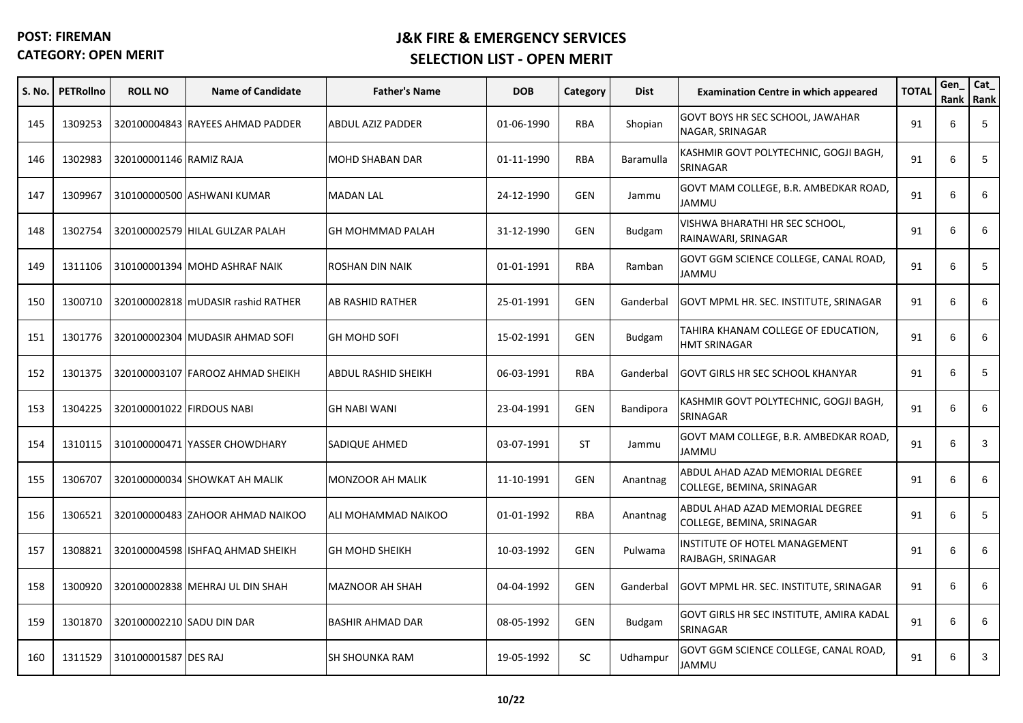| S. No. | <b>PETRollno</b> | <b>ROLL NO</b>            | <b>Name of Candidate</b>           | <b>Father's Name</b>    | <b>DOB</b> | Category   | <b>Dist</b>   | <b>Examination Centre in which appeared</b>                  | <b>TOTAL</b> | Gen<br>Rank | Cat_<br>Rank |
|--------|------------------|---------------------------|------------------------------------|-------------------------|------------|------------|---------------|--------------------------------------------------------------|--------------|-------------|--------------|
| 145    | 1309253          |                           | 320100004843 RAYEES AHMAD PADDER   | ABDUL AZIZ PADDER       | 01-06-1990 | <b>RBA</b> | Shopian       | GOVT BOYS HR SEC SCHOOL, JAWAHAR<br>NAGAR, SRINAGAR          | 91           | 6           | 5            |
| 146    | 1302983          | 320100001146 RAMIZ RAJA   |                                    | <b>MOHD SHABAN DAR</b>  | 01-11-1990 | <b>RBA</b> | Baramulla     | KASHMIR GOVT POLYTECHNIC, GOGJI BAGH,<br>SRINAGAR            | 91           | 6           | 5            |
| 147    | 1309967          |                           | 310100000500 ASHWANI KUMAR         | <b>MADAN LAL</b>        | 24-12-1990 | <b>GEN</b> | Jammu         | GOVT MAM COLLEGE, B.R. AMBEDKAR ROAD,<br>UMMAL               | 91           | 6           | 6            |
| 148    | 1302754          |                           | 320100002579 HILAL GULZAR PALAH    | GH MOHMMAD PALAH        | 31-12-1990 | <b>GEN</b> | <b>Budgam</b> | VISHWA BHARATHI HR SEC SCHOOL,<br>RAINAWARI, SRINAGAR        | 91           | 6           | 6            |
| 149    | 1311106          |                           | 310100001394 MOHD ASHRAF NAIK      | ROSHAN DIN NAIK         | 01-01-1991 | RBA        | Ramban        | GOVT GGM SCIENCE COLLEGE, CANAL ROAD,<br>JAMMU               | 91           | 6           | 5            |
| 150    | 1300710          |                           | 320100002818 MUDASIR rashid RATHER | AB RASHID RATHER        | 25-01-1991 | <b>GEN</b> | Ganderbal     | GOVT MPML HR. SEC. INSTITUTE, SRINAGAR                       | 91           | 6           | 6            |
| 151    | 1301776          |                           | 320100002304 MUDASIR AHMAD SOFI    | <b>GH MOHD SOFI</b>     | 15-02-1991 | <b>GEN</b> | <b>Budgam</b> | TAHIRA KHANAM COLLEGE OF EDUCATION,<br><b>HMT SRINAGAR</b>   | 91           | 6           | 6            |
| 152    | 1301375          |                           | 320100003107 FAROOZ AHMAD SHEIKH   | ABDUL RASHID SHEIKH     | 06-03-1991 | <b>RBA</b> | Ganderbal     | <b>GOVT GIRLS HR SEC SCHOOL KHANYAR</b>                      | 91           | 6           | 5            |
| 153    | 1304225          | 320100001022 FIRDOUS NABI |                                    | <b>GH NABI WANI</b>     | 23-04-1991 | <b>GEN</b> | Bandipora     | KASHMIR GOVT POLYTECHNIC, GOGJI BAGH,<br>SRINAGAR            | 91           | 6           | 6            |
| 154    | 1310115          |                           | 310100000471 YASSER CHOWDHARY      | SADIQUE AHMED           | 03-07-1991 | <b>ST</b>  | Jammu         | GOVT MAM COLLEGE, B.R. AMBEDKAR ROAD,<br><b>UMMAL</b>        | 91           | 6           | 3            |
| 155    | 1306707          |                           | 320100000034 SHOWKAT AH MALIK      | <b>MONZOOR AH MALIK</b> | 11-10-1991 | <b>GEN</b> | Anantnag      | ABDUL AHAD AZAD MEMORIAL DEGREE<br>COLLEGE, BEMINA, SRINAGAR | 91           | 6           | 6            |
| 156    | 1306521          |                           | 320100000483 ZAHOOR AHMAD NAIKOO   | ALI MOHAMMAD NAIKOO     | 01-01-1992 | <b>RBA</b> | Anantnag      | ABDUL AHAD AZAD MEMORIAL DEGREE<br>COLLEGE, BEMINA, SRINAGAR | 91           | 6           | 5            |
| 157    | 1308821          |                           | 320100004598 ISHFAQ AHMAD SHEIKH   | <b>GH MOHD SHEIKH</b>   | 10-03-1992 | <b>GEN</b> | Pulwama       | INSTITUTE OF HOTEL MANAGEMENT<br>RAJBAGH, SRINAGAR           | 91           | 6           | 6            |
| 158    | 1300920          |                           | 320100002838 MEHRAJ UL DIN SHAH    | <b>MAZNOOR AH SHAH</b>  | 04-04-1992 | <b>GEN</b> | Ganderbal     | GOVT MPML HR. SEC. INSTITUTE, SRINAGAR                       | 91           | 6           | 6            |
| 159    | 1301870          | 320100002210 SADU DIN DAR |                                    | <b>BASHIR AHMAD DAR</b> | 08-05-1992 | GEN        | <b>Budgam</b> | GOVT GIRLS HR SEC INSTITUTE, AMIRA KADAL<br>SRINAGAR         | 91           | 6           | 6            |
| 160    | 1311529          | 310100001587 DES RAJ      |                                    | <b>SH SHOUNKA RAM</b>   | 19-05-1992 | SC         | Udhampur      | GOVT GGM SCIENCE COLLEGE, CANAL ROAD,<br>JAMMU               | 91           | 6           | 3            |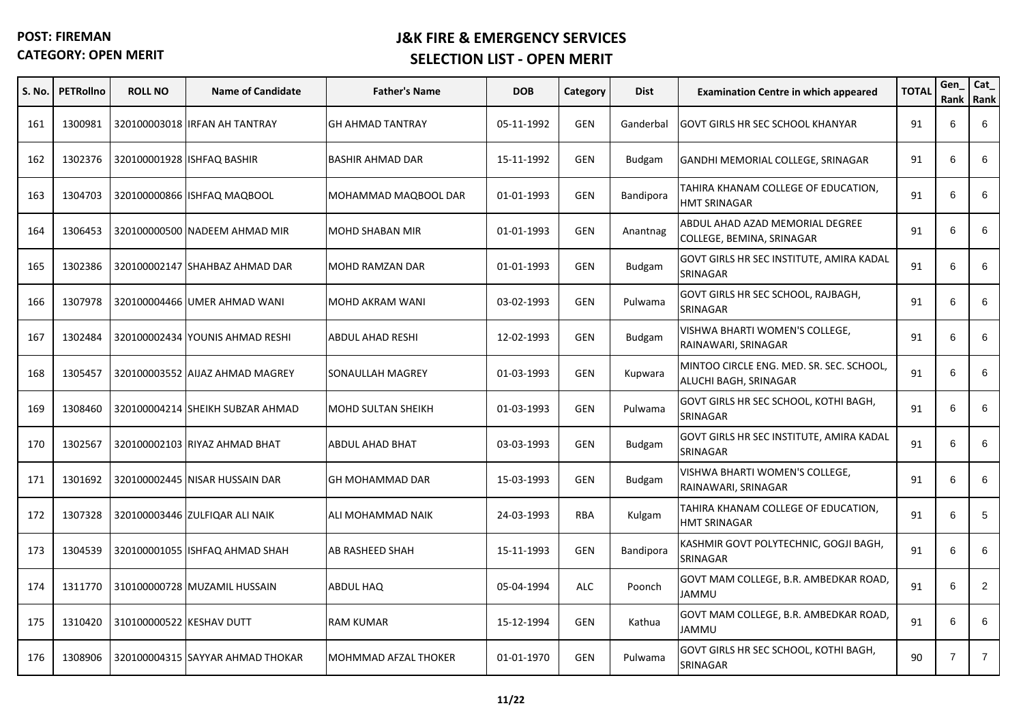| S. No. | <b>PETRollno</b> | <b>ROLL NO</b>           | <b>Name of Candidate</b>         | <b>Father's Name</b>      | <b>DOB</b> | Category   | <b>Dist</b>   | <b>Examination Centre in which appeared</b>                       | <b>TOTAL</b> | Gen            | $Cat_$<br>Rank   Rank |
|--------|------------------|--------------------------|----------------------------------|---------------------------|------------|------------|---------------|-------------------------------------------------------------------|--------------|----------------|-----------------------|
| 161    | 1300981          |                          | 320100003018 IRFAN AH TANTRAY    | <b>GH AHMAD TANTRAY</b>   | 05-11-1992 | <b>GEN</b> | Ganderbal     | GOVT GIRLS HR SEC SCHOOL KHANYAR                                  | 91           | 6              | 6                     |
| 162    | 1302376          |                          | 320100001928 ISHFAQ BASHIR       | <b>BASHIR AHMAD DAR</b>   | 15-11-1992 | <b>GEN</b> | Budgam        | GANDHI MEMORIAL COLLEGE, SRINAGAR                                 | 91           | 6              | 6                     |
| 163    | 1304703          |                          | 320100000866 ISHFAQ MAQBOOL      | MOHAMMAD MAQBOOL DAR      | 01-01-1993 | <b>GEN</b> | Bandipora     | TAHIRA KHANAM COLLEGE OF EDUCATION,<br><b>HMT SRINAGAR</b>        | 91           | 6              | 6                     |
| 164    | 1306453          |                          | 320100000500 NADEEM AHMAD MIR    | <b>MOHD SHABAN MIR</b>    | 01-01-1993 | <b>GEN</b> | Anantnag      | ABDUL AHAD AZAD MEMORIAL DEGREE<br>COLLEGE, BEMINA, SRINAGAR      | 91           | 6              | 6                     |
| 165    | 1302386          |                          | 320100002147 SHAHBAZ AHMAD DAR   | <b>MOHD RAMZAN DAR</b>    | 01-01-1993 | GEN        | <b>Budgam</b> | GOVT GIRLS HR SEC INSTITUTE, AMIRA KADAL<br>SRINAGAR              | 91           | 6              | 6                     |
| 166    | 1307978          |                          | 320100004466 UMER AHMAD WANI     | MOHD AKRAM WANI           | 03-02-1993 | <b>GEN</b> | Pulwama       | GOVT GIRLS HR SEC SCHOOL, RAJBAGH,<br>SRINAGAR                    | 91           | 6              | 6                     |
| 167    | 1302484          |                          | 320100002434 YOUNIS AHMAD RESHI  | <b>ABDUL AHAD RESHI</b>   | 12-02-1993 | <b>GEN</b> | <b>Budgam</b> | VISHWA BHARTI WOMEN'S COLLEGE,<br>RAINAWARI, SRINAGAR             | 91           | 6              | 6                     |
| 168    | 1305457          |                          | 320100003552 AIJAZ AHMAD MAGREY  | SONAULLAH MAGREY          | 01-03-1993 | <b>GEN</b> | Kupwara       | MINTOO CIRCLE ENG. MED. SR. SEC. SCHOOL.<br>ALUCHI BAGH, SRINAGAR | 91           | 6              | 6                     |
| 169    | 1308460          |                          | 320100004214 SHEIKH SUBZAR AHMAD | <b>MOHD SULTAN SHEIKH</b> | 01-03-1993 | <b>GEN</b> | Pulwama       | GOVT GIRLS HR SEC SCHOOL, KOTHI BAGH,<br>SRINAGAR                 | 91           | 6              | 6                     |
| 170    | 1302567          |                          | 320100002103 RIYAZ AHMAD BHAT    | <b>ABDUL AHAD BHAT</b>    | 03-03-1993 | <b>GEN</b> | <b>Budgam</b> | GOVT GIRLS HR SEC INSTITUTE, AMIRA KADAL<br>SRINAGAR              | 91           | 6              | 6                     |
| 171    | 1301692          |                          | 320100002445 NISAR HUSSAIN DAR   | GH MOHAMMAD DAR           | 15-03-1993 | <b>GEN</b> | <b>Budgam</b> | VISHWA BHARTI WOMEN'S COLLEGE,<br>RAINAWARI, SRINAGAR             | 91           | 6              | 6                     |
| 172    | 1307328          |                          | 320100003446 ZULFIQAR ALI NAIK   | ALI MOHAMMAD NAIK         | 24-03-1993 | <b>RBA</b> | Kulgam        | TAHIRA KHANAM COLLEGE OF EDUCATION,<br><b>HMT SRINAGAR</b>        | 91           | 6              | 5                     |
| 173    | 1304539          |                          | 320100001055 ISHFAQ AHMAD SHAH   | AB RASHEED SHAH           | 15-11-1993 | <b>GEN</b> | Bandipora     | KASHMIR GOVT POLYTECHNIC, GOGJI BAGH,<br>SRINAGAR                 | 91           | 6              | 6                     |
| 174    | 1311770          |                          | 310100000728 MUZAMIL HUSSAIN     | ABDUL HAQ                 | 05-04-1994 | <b>ALC</b> | Poonch        | GOVT MAM COLLEGE, B.R. AMBEDKAR ROAD,<br>JAMMU                    | 91           | 6              | $\overline{2}$        |
| 175    | 1310420          | 310100000522 KESHAV DUTT |                                  | <b>RAM KUMAR</b>          | 15-12-1994 | <b>GEN</b> | Kathua        | GOVT MAM COLLEGE, B.R. AMBEDKAR ROAD,<br>JAMMU                    | 91           | 6              | 6                     |
| 176    | 1308906          |                          | 320100004315 SAYYAR AHMAD THOKAR | MOHMMAD AFZAL THOKER      | 01-01-1970 | <b>GEN</b> | Pulwama       | GOVT GIRLS HR SEC SCHOOL, KOTHI BAGH,<br>SRINAGAR                 | 90           | $\overline{7}$ | $\overline{7}$        |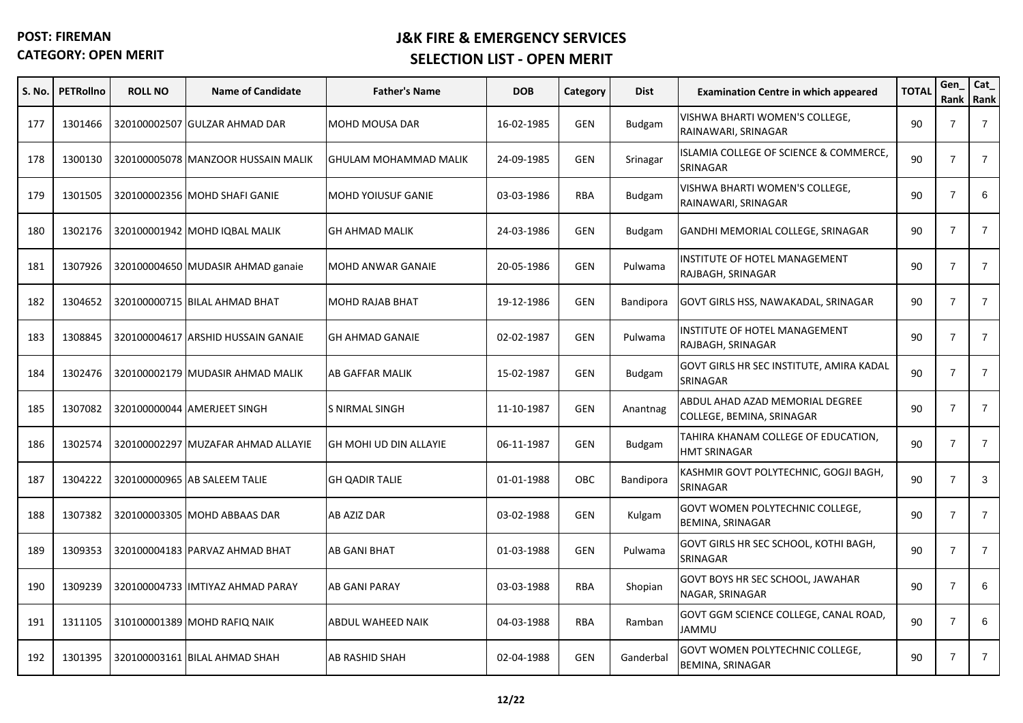| S. No. | <b>PETRollno</b> | <b>ROLL NO</b> | <b>Name of Candidate</b>           | <b>Father's Name</b>          | <b>DOB</b> | Category   | <b>Dist</b>   | <b>Examination Centre in which appeared</b>                       | <b>TOTAL</b> | Gen            | Cat_<br>Rank Rank |
|--------|------------------|----------------|------------------------------------|-------------------------------|------------|------------|---------------|-------------------------------------------------------------------|--------------|----------------|-------------------|
| 177    | 1301466          |                | 320100002507 GULZAR AHMAD DAR      | <b>MOHD MOUSA DAR</b>         | 16-02-1985 | <b>GEN</b> | <b>Budgam</b> | VISHWA BHARTI WOMEN'S COLLEGE,<br>RAINAWARI, SRINAGAR             | 90           | $\overline{7}$ | $\overline{7}$    |
| 178    | 1300130          |                | 320100005078 MANZOOR HUSSAIN MALIK | GHULAM MOHAMMAD MALIK         | 24-09-1985 | <b>GEN</b> | Srinagar      | ISLAMIA COLLEGE OF SCIENCE & COMMERCE,<br>SRINAGAR                | 90           | $\overline{7}$ | $\overline{7}$    |
| 179    | 1301505          |                | 320100002356 MOHD SHAFI GANIE      | <b>MOHD YOIUSUF GANIE</b>     | 03-03-1986 | <b>RBA</b> | <b>Budgam</b> | VISHWA BHARTI WOMEN'S COLLEGE.<br>RAINAWARI, SRINAGAR             | 90           | $\overline{7}$ | 6                 |
| 180    | 1302176          |                | 320100001942 MOHD IQBAL MALIK      | <b>GH AHMAD MALIK</b>         | 24-03-1986 | <b>GEN</b> | <b>Budgam</b> | GANDHI MEMORIAL COLLEGE, SRINAGAR                                 | 90           | $\overline{7}$ | $\overline{7}$    |
| 181    | 1307926          |                | 320100004650 MUDASIR AHMAD ganaie  | <b>MOHD ANWAR GANAIE</b>      | 20-05-1986 | GEN        | Pulwama       | INSTITUTE OF HOTEL MANAGEMENT<br>RAJBAGH, SRINAGAR                | 90           | $\overline{7}$ | $\overline{7}$    |
| 182    | 1304652          |                | 320100000715 BILAL AHMAD BHAT      | <b>MOHD RAJAB BHAT</b>        | 19-12-1986 | <b>GEN</b> | Bandipora     | GOVT GIRLS HSS, NAWAKADAL, SRINAGAR                               | 90           | $\overline{7}$ | $\overline{7}$    |
| 183    | 1308845          | 320100004617   | <b>ARSHID HUSSAIN GANAIE</b>       | <b>GH AHMAD GANAIE</b>        | 02-02-1987 | <b>GEN</b> | Pulwama       | INSTITUTE OF HOTEL MANAGEMENT<br>RAJBAGH, SRINAGAR                | 90           | $\overline{7}$ | $\overline{7}$    |
| 184    | 1302476          |                | 320100002179 MUDASIR AHMAD MALIK   | AB GAFFAR MALIK               | 15-02-1987 | <b>GEN</b> | <b>Budgam</b> | GOVT GIRLS HR SEC INSTITUTE, AMIRA KADAL<br>SRINAGAR              | 90           | $\overline{7}$ | $\overline{7}$    |
| 185    | 1307082          |                | 320100000044 AMERJEET SINGH        | S NIRMAL SINGH                | 11-10-1987 | <b>GEN</b> | Anantnag      | ABDUL AHAD AZAD MEMORIAL DEGREE<br>COLLEGE, BEMINA, SRINAGAR      | 90           | $\overline{7}$ | $\overline{7}$    |
| 186    | 1302574          |                | 320100002297 MUZAFAR AHMAD ALLAYIE | <b>GH MOHI UD DIN ALLAYIE</b> | 06-11-1987 | <b>GEN</b> | <b>Budgam</b> | TAHIRA KHANAM COLLEGE OF EDUCATION,<br><b>HMT SRINAGAR</b>        | 90           | $\overline{7}$ | $\overline{7}$    |
| 187    | 1304222          |                | 320100000965 AB SALEEM TALIE       | <b>GH QADIR TALIE</b>         | 01-01-1988 | OBC        | Bandipora     | KASHMIR GOVT POLYTECHNIC, GOGJI BAGH,<br>SRINAGAR                 | 90           | $\overline{7}$ | 3                 |
| 188    | 1307382          |                | 320100003305 MOHD ABBAAS DAR       | <b>AB AZIZ DAR</b>            | 03-02-1988 | <b>GEN</b> | Kulgam        | <b>GOVT WOMEN POLYTECHNIC COLLEGE,</b><br><b>BEMINA, SRINAGAR</b> | 90           | $\overline{7}$ | $\overline{7}$    |
| 189    | 1309353          |                | 320100004183 PARVAZ AHMAD BHAT     | <b>AB GANI BHAT</b>           | 01-03-1988 | <b>GEN</b> | Pulwama       | GOVT GIRLS HR SEC SCHOOL, KOTHI BAGH,<br>SRINAGAR                 | 90           | $\overline{7}$ | $\overline{7}$    |
| 190    | 1309239          |                | 320100004733 IMTIYAZ AHMAD PARAY   | <b>AB GANI PARAY</b>          | 03-03-1988 | <b>RBA</b> | Shopian       | GOVT BOYS HR SEC SCHOOL, JAWAHAR<br>NAGAR, SRINAGAR               | 90           | $\overline{7}$ | 6                 |
| 191    | 1311105          |                | 310100001389 MOHD RAFIQ NAIK       | ABDUL WAHEED NAIK             | 04-03-1988 | <b>RBA</b> | Ramban        | GOVT GGM SCIENCE COLLEGE, CANAL ROAD,<br>JAMMU                    | 90           | $\overline{7}$ | 6                 |
| 192    | 1301395          |                | 320100003161 BILAL AHMAD SHAH      | AB RASHID SHAH                | 02-04-1988 | <b>GEN</b> | Ganderbal     | GOVT WOMEN POLYTECHNIC COLLEGE,<br><b>BEMINA, SRINAGAR</b>        | 90           | $\overline{7}$ | $\overline{7}$    |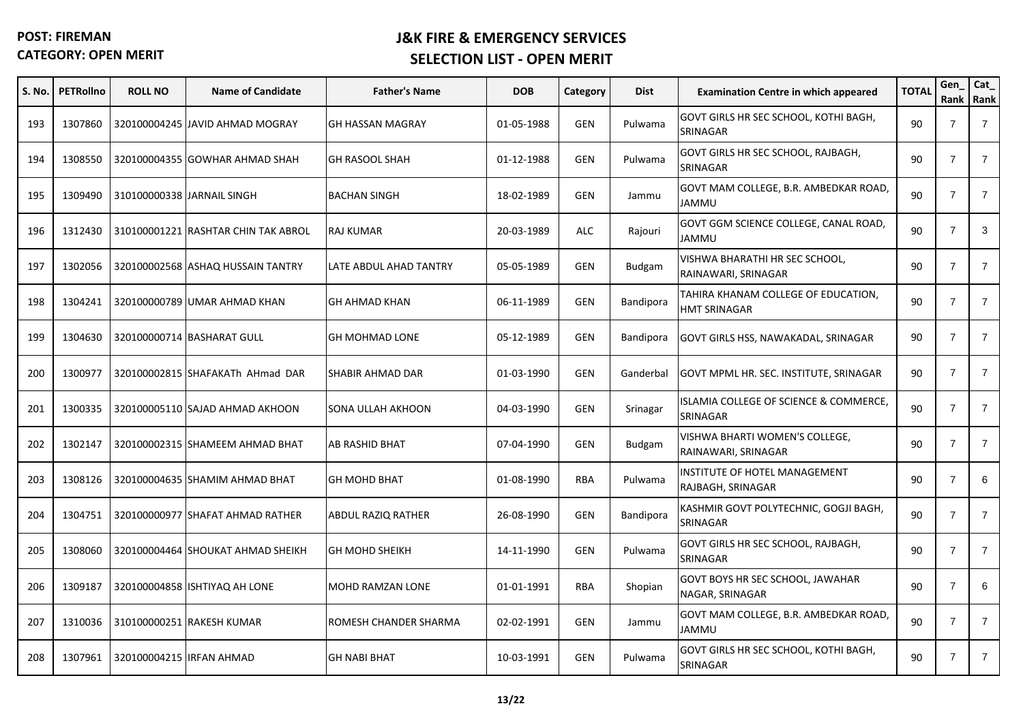| S. No. | <b>PETRollno</b> | <b>ROLL NO</b>             | <b>Name of Candidate</b>            | <b>Father's Name</b>      | <b>DOB</b> | Category   | <b>Dist</b>   | <b>Examination Centre in which appeared</b>           | <b>TOTAL</b> | Gen<br>Rank Rank | Cat_           |
|--------|------------------|----------------------------|-------------------------------------|---------------------------|------------|------------|---------------|-------------------------------------------------------|--------------|------------------|----------------|
| 193    | 1307860          |                            | 320100004245 JAVID AHMAD MOGRAY     | <b>GH HASSAN MAGRAY</b>   | 01-05-1988 | GEN        | Pulwama       | GOVT GIRLS HR SEC SCHOOL, KOTHI BAGH,<br>SRINAGAR     | 90           | $\overline{7}$   | $\overline{7}$ |
| 194    | 1308550          |                            | 320100004355 GOWHAR AHMAD SHAH      | <b>GH RASOOL SHAH</b>     | 01-12-1988 | <b>GEN</b> | Pulwama       | GOVT GIRLS HR SEC SCHOOL, RAJBAGH,<br>SRINAGAR        | 90           | $\overline{7}$   | $\overline{7}$ |
| 195    | 1309490          | 310100000338 JARNAIL SINGH |                                     | <b>BACHAN SINGH</b>       | 18-02-1989 | <b>GEN</b> | Jammu         | GOVT MAM COLLEGE, B.R. AMBEDKAR ROAD,<br><b>UMMAL</b> | 90           | $\overline{7}$   | $\overline{7}$ |
| 196    | 1312430          |                            | 310100001221 RASHTAR CHIN TAK ABROL | <b>RAJ KUMAR</b>          | 20-03-1989 | <b>ALC</b> | Rajouri       | GOVT GGM SCIENCE COLLEGE, CANAL ROAD,<br>JAMMU        | 90           | $\overline{7}$   | 3              |
| 197    | 1302056          |                            | 320100002568 ASHAQ HUSSAIN TANTRY   | LATE ABDUL AHAD TANTRY    | 05-05-1989 | <b>GEN</b> | <b>Budgam</b> | VISHWA BHARATHI HR SEC SCHOOL,<br>RAINAWARI, SRINAGAR | 90           | $\overline{7}$   | $\overline{7}$ |
| 198    | 1304241          |                            | 320100000789 UMAR AHMAD KHAN        | <b>GH AHMAD KHAN</b>      | 06-11-1989 | <b>GEN</b> | Bandipora     | TAHIRA KHANAM COLLEGE OF EDUCATION,<br>HMT SRINAGAR   | 90           | $\overline{7}$   | $\overline{7}$ |
| 199    | 1304630          |                            | 320100000714 BASHARAT GULL          | <b>GH MOHMAD LONE</b>     | 05-12-1989 | <b>GEN</b> | Bandipora     | GOVT GIRLS HSS, NAWAKADAL, SRINAGAR                   | 90           | $\overline{7}$   | $\overline{7}$ |
| 200    | 1300977          |                            | 320100002815 SHAFAKATh AHmad DAR    | SHABIR AHMAD DAR          | 01-03-1990 | <b>GEN</b> | Ganderbal     | GOVT MPML HR. SEC. INSTITUTE, SRINAGAR                | 90           | $\overline{7}$   | $\overline{7}$ |
| 201    | 1300335          |                            | 320100005110 SAJAD AHMAD AKHOON     | SONA ULLAH AKHOON         | 04-03-1990 | <b>GEN</b> | Srinagar      | ISLAMIA COLLEGE OF SCIENCE & COMMERCE,<br>SRINAGAR    | 90           | $\overline{7}$   | $\overline{7}$ |
| 202    | 1302147          |                            | 320100002315 SHAMEEM AHMAD BHAT     | AB RASHID BHAT            | 07-04-1990 | <b>GEN</b> | <b>Budgam</b> | VISHWA BHARTI WOMEN'S COLLEGE,<br>RAINAWARI, SRINAGAR | 90           | $\overline{7}$   | $\overline{7}$ |
| 203    | 1308126          |                            | 320100004635 SHAMIM AHMAD BHAT      | <b>GH MOHD BHAT</b>       | 01-08-1990 | <b>RBA</b> | Pulwama       | INSTITUTE OF HOTEL MANAGEMENT<br>RAJBAGH, SRINAGAR    | 90           | $\overline{7}$   | 6              |
| 204    | 1304751          |                            | 320100000977 SHAFAT AHMAD RATHER    | <b>ABDUL RAZIQ RATHER</b> | 26-08-1990 | <b>GEN</b> | Bandipora     | KASHMIR GOVT POLYTECHNIC, GOGJI BAGH,<br>SRINAGAR     | 90           | $\overline{7}$   | $\overline{7}$ |
| 205    | 1308060          |                            | 320100004464 SHOUKAT AHMAD SHEIKH   | <b>GH MOHD SHEIKH</b>     | 14-11-1990 | <b>GEN</b> | Pulwama       | GOVT GIRLS HR SEC SCHOOL, RAJBAGH,<br>SRINAGAR        | 90           | $\overline{7}$   | $\overline{7}$ |
| 206    | 1309187          |                            | 320100004858 ISHTIYAQ AH LONE       | MOHD RAMZAN LONE          | 01-01-1991 | <b>RBA</b> | Shopian       | GOVT BOYS HR SEC SCHOOL, JAWAHAR<br>NAGAR, SRINAGAR   | 90           | $\overline{7}$   | 6              |
| 207    | 1310036          |                            | 310100000251 RAKESH KUMAR           | ROMESH CHANDER SHARMA     | 02-02-1991 | <b>GEN</b> | Jammu         | GOVT MAM COLLEGE, B.R. AMBEDKAR ROAD,<br>JAMMU        | 90           | $\overline{7}$   | $\overline{7}$ |
| 208    | 1307961          | 320100004215 IRFAN AHMAD   |                                     | <b>GH NABI BHAT</b>       | 10-03-1991 | <b>GEN</b> | Pulwama       | GOVT GIRLS HR SEC SCHOOL, KOTHI BAGH,<br>SRINAGAR     | 90           | $\overline{7}$   | $\overline{7}$ |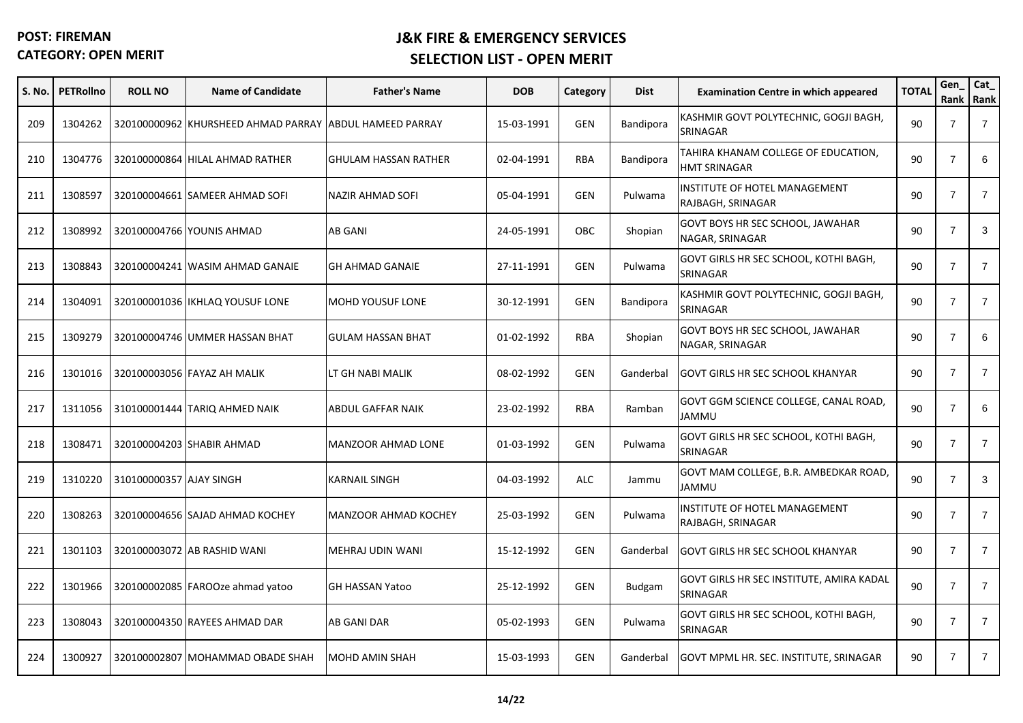| S. No. | <b>PETRollno</b> | <b>ROLL NO</b>          | <b>Name of Candidate</b>                                | <b>Father's Name</b>        | <b>DOB</b> | Category   | <b>Dist</b>   | <b>Examination Centre in which appeared</b>          | <b>TOTAL</b> | Gen<br>Rank    | Cat_<br>Rank   |
|--------|------------------|-------------------------|---------------------------------------------------------|-----------------------------|------------|------------|---------------|------------------------------------------------------|--------------|----------------|----------------|
| 209    | 1304262          |                         | 320100000962 KHURSHEED AHMAD PARRAY ABDUL HAMEED PARRAY |                             | 15-03-1991 | <b>GEN</b> | Bandipora     | KASHMIR GOVT POLYTECHNIC, GOGJI BAGH,<br>SRINAGAR    | 90           | $\overline{7}$ | $\overline{7}$ |
| 210    | 1304776          |                         | 320100000864 HILAL AHMAD RATHER                         | <b>GHULAM HASSAN RATHER</b> | 02-04-1991 | <b>RBA</b> | Bandipora     | TAHIRA KHANAM COLLEGE OF EDUCATION,<br>HMT SRINAGAR  | 90           | $\overline{7}$ | 6              |
| 211    | 1308597          |                         | 320100004661 SAMEER AHMAD SOFI                          | NAZIR AHMAD SOFI            | 05-04-1991 | <b>GEN</b> | Pulwama       | INSTITUTE OF HOTEL MANAGEMENT<br>RAJBAGH, SRINAGAR   | 90           | $\overline{7}$ | $\overline{7}$ |
| 212    | 1308992          |                         | 320100004766 YOUNIS AHMAD                               | AB GANI                     | 24-05-1991 | <b>OBC</b> | Shopian       | GOVT BOYS HR SEC SCHOOL, JAWAHAR<br>NAGAR, SRINAGAR  | 90           | $\overline{7}$ | 3              |
| 213    | 1308843          |                         | 320100004241 WASIM AHMAD GANAIE                         | <b>GH AHMAD GANAIE</b>      | 27-11-1991 | <b>GEN</b> | Pulwama       | GOVT GIRLS HR SEC SCHOOL, KOTHI BAGH,<br>SRINAGAR    | 90           | $\overline{7}$ | $\overline{7}$ |
| 214    | 1304091          |                         | 320100001036 IKHLAQ YOUSUF LONE                         | <b>MOHD YOUSUF LONE</b>     | 30-12-1991 | <b>GEN</b> | Bandipora     | KASHMIR GOVT POLYTECHNIC, GOGJI BAGH,<br>SRINAGAR    | 90           | $\overline{7}$ | $\overline{7}$ |
| 215    | 1309279          |                         | 320100004746 UMMER HASSAN BHAT                          | <b>GULAM HASSAN BHAT</b>    | 01-02-1992 | <b>RBA</b> | Shopian       | GOVT BOYS HR SEC SCHOOL, JAWAHAR<br>NAGAR, SRINAGAR  | 90           | $\overline{7}$ | 6              |
| 216    | 1301016          |                         | 320100003056 FAYAZ AH MALIK                             | LT GH NABI MALIK            | 08-02-1992 | <b>GEN</b> | Ganderbal     | <b>GOVT GIRLS HR SEC SCHOOL KHANYAR</b>              | 90           | $\overline{7}$ | $\overline{7}$ |
| 217    | 1311056          |                         | 310100001444 TARIQ AHMED NAIK                           | ABDUL GAFFAR NAIK           | 23-02-1992 | <b>RBA</b> | Ramban        | GOVT GGM SCIENCE COLLEGE, CANAL ROAD,<br>UMMAL       | 90           | $\overline{7}$ | 6              |
| 218    | 1308471          |                         | 320100004203 SHABIR AHMAD                               | MANZOOR AHMAD LONE          | 01-03-1992 | <b>GEN</b> | Pulwama       | GOVT GIRLS HR SEC SCHOOL, KOTHI BAGH,<br>SRINAGAR    | 90           | $\overline{7}$ | $\overline{7}$ |
| 219    | 1310220          | 310100000357 AJAY SINGH |                                                         | <b>KARNAIL SINGH</b>        | 04-03-1992 | <b>ALC</b> | Jammu         | GOVT MAM COLLEGE, B.R. AMBEDKAR ROAD,<br>UMMAL       | 90           | $\overline{7}$ | 3              |
| 220    | 1308263          |                         | 320100004656 SAJAD AHMAD KOCHEY                         | <b>MANZOOR AHMAD KOCHEY</b> | 25-03-1992 | <b>GEN</b> | Pulwama       | INSTITUTE OF HOTEL MANAGEMENT<br>RAJBAGH, SRINAGAR   | 90           | $\overline{7}$ | $\overline{7}$ |
| 221    | 1301103          |                         | 320100003072 AB RASHID WANI                             | MEHRAJ UDIN WANI            | 15-12-1992 | <b>GEN</b> | Ganderbal     | <b>GOVT GIRLS HR SEC SCHOOL KHANYAR</b>              | 90           | $\overline{7}$ | $\overline{7}$ |
| 222    | 1301966          |                         | 320100002085 FAROOze ahmad yatoo                        | <b>GH HASSAN Yatoo</b>      | 25-12-1992 | <b>GEN</b> | <b>Budgam</b> | GOVT GIRLS HR SEC INSTITUTE, AMIRA KADAL<br>SRINAGAR | 90           | $\overline{7}$ | $\overline{7}$ |
| 223    | 1308043          |                         | 320100004350 RAYEES AHMAD DAR                           | AB GANI DAR                 | 05-02-1993 | GEN        | Pulwama       | GOVT GIRLS HR SEC SCHOOL, KOTHI BAGH,<br>SRINAGAR    | 90           | $\overline{7}$ | $\overline{7}$ |
| 224    | 1300927          |                         | 320100002807 MOHAMMAD OBADE SHAH                        | MOHD AMIN SHAH              | 15-03-1993 | <b>GEN</b> | Ganderbal     | GOVT MPML HR. SEC. INSTITUTE, SRINAGAR               | 90           | $\overline{7}$ | $\overline{7}$ |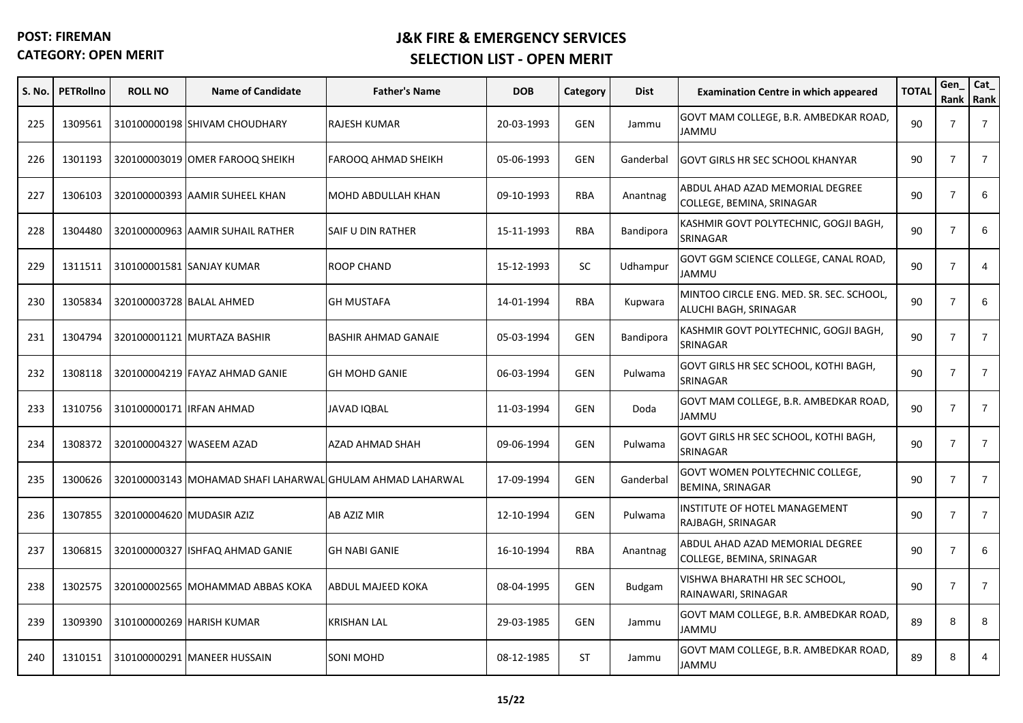| S. No. | <b>PETRollno</b> | <b>ROLL NO</b>            | <b>Name of Candidate</b>                                  | <b>Father's Name</b>       | <b>DOB</b> | Category   | <b>Dist</b>   | <b>Examination Centre in which appeared</b>                       | <b>TOTAL</b> | Gen<br>Rank Rank | Cat_           |
|--------|------------------|---------------------------|-----------------------------------------------------------|----------------------------|------------|------------|---------------|-------------------------------------------------------------------|--------------|------------------|----------------|
| 225    | 1309561          |                           | 310100000198 SHIVAM CHOUDHARY                             | <b>RAJESH KUMAR</b>        | 20-03-1993 | <b>GEN</b> | Jammu         | GOVT MAM COLLEGE, B.R. AMBEDKAR ROAD,<br>JAMMU                    | 90           | $\overline{7}$   | $\overline{7}$ |
| 226    | 1301193          |                           | 320100003019 OMER FAROOQ SHEIKH                           | FAROOQ AHMAD SHEIKH        | 05-06-1993 | <b>GEN</b> | Ganderbal     | <b>GOVT GIRLS HR SEC SCHOOL KHANYAR</b>                           | 90           | $\overline{7}$   | $\overline{7}$ |
| 227    | 1306103          |                           | 320100000393 AAMIR SUHEEL KHAN                            | MOHD ABDULLAH KHAN         | 09-10-1993 | <b>RBA</b> | Anantnag      | ABDUL AHAD AZAD MEMORIAL DEGREE<br>COLLEGE, BEMINA, SRINAGAR      | 90           | $\overline{7}$   | 6              |
| 228    | 1304480          |                           | 320100000963 AAMIR SUHAIL RATHER                          | SAIF U DIN RATHER          | 15-11-1993 | <b>RBA</b> | Bandipora     | KASHMIR GOVT POLYTECHNIC, GOGJI BAGH,<br>SRINAGAR                 | 90           | $\overline{7}$   | 6              |
| 229    | 1311511          |                           | 310100001581 SANJAY KUMAR                                 | <b>ROOP CHAND</b>          | 15-12-1993 | SC.        | Udhampur      | GOVT GGM SCIENCE COLLEGE, CANAL ROAD,<br>JAMMU                    | 90           | $\overline{7}$   | $\overline{4}$ |
| 230    | 1305834          | 320100003728 BALAL AHMED  |                                                           | <b>GH MUSTAFA</b>          | 14-01-1994 | <b>RBA</b> | Kupwara       | MINTOO CIRCLE ENG. MED. SR. SEC. SCHOOL,<br>ALUCHI BAGH, SRINAGAR | 90           | $\overline{7}$   | 6              |
| 231    | 1304794          |                           | 320100001121 MURTAZA BASHIR                               | <b>BASHIR AHMAD GANAIE</b> | 05-03-1994 | <b>GEN</b> | Bandipora     | KASHMIR GOVT POLYTECHNIC, GOGJI BAGH,<br>SRINAGAR                 | 90           | $\overline{7}$   | $\overline{7}$ |
| 232    | 1308118          |                           | 320100004219 FAYAZ AHMAD GANIE                            | <b>GH MOHD GANIE</b>       | 06-03-1994 | <b>GEN</b> | Pulwama       | GOVT GIRLS HR SEC SCHOOL, KOTHI BAGH,<br>SRINAGAR                 | 90           | $\overline{7}$   | $\overline{7}$ |
| 233    | 1310756          | 310100000171 IRFAN AHMAD  |                                                           | JAVAD IQBAL                | 11-03-1994 | <b>GEN</b> | Doda          | GOVT MAM COLLEGE, B.R. AMBEDKAR ROAD,<br>UMMAL                    | 90           | $\overline{7}$   | $\overline{7}$ |
| 234    | 1308372          |                           | 320100004327 WASEEM AZAD                                  | AZAD AHMAD SHAH            | 09-06-1994 | <b>GEN</b> | Pulwama       | GOVT GIRLS HR SEC SCHOOL, KOTHI BAGH,<br>SRINAGAR                 | 90           | $\overline{7}$   | $\overline{7}$ |
| 235    | 1300626          |                           | 320100003143 MOHAMAD SHAFI LAHARWAL GHULAM AHMAD LAHARWAL |                            | 17-09-1994 | <b>GEN</b> | Ganderbal     | GOVT WOMEN POLYTECHNIC COLLEGE,<br>BEMINA, SRINAGAR               | 90           | $\overline{7}$   | $\overline{7}$ |
| 236    | 1307855          | 320100004620 MUDASIR AZIZ |                                                           | AB AZIZ MIR                | 12-10-1994 | <b>GEN</b> | Pulwama       | INSTITUTE OF HOTEL MANAGEMENT<br>RAJBAGH, SRINAGAR                | 90           | $\overline{7}$   | $\overline{7}$ |
| 237    | 1306815          |                           | 320100000327 ISHFAQ AHMAD GANIE                           | <b>GH NABI GANIE</b>       | 16-10-1994 | <b>RBA</b> | Anantnag      | ABDUL AHAD AZAD MEMORIAL DEGREE<br>COLLEGE, BEMINA, SRINAGAR      | 90           | $\overline{7}$   | 6              |
| 238    | 1302575          |                           | 320100002565 MOHAMMAD ABBAS KOKA                          | ABDUL MAJEED KOKA          | 08-04-1995 | <b>GEN</b> | <b>Budgam</b> | VISHWA BHARATHI HR SEC SCHOOL,<br>RAINAWARI, SRINAGAR             | 90           | $\overline{7}$   | $\overline{7}$ |
| 239    | 1309390          |                           | 310100000269 HARISH KUMAR                                 | <b>KRISHAN LAL</b>         | 29-03-1985 | <b>GEN</b> | Jammu         | GOVT MAM COLLEGE, B.R. AMBEDKAR ROAD,<br>JAMMU                    | 89           | 8                | 8              |
| 240    | 1310151          |                           | 310100000291 MANEER HUSSAIN                               | <b>SONI MOHD</b>           | 08-12-1985 | ST         | Jammu         | GOVT MAM COLLEGE, B.R. AMBEDKAR ROAD,<br>JAMMU                    | 89           | 8                | 4              |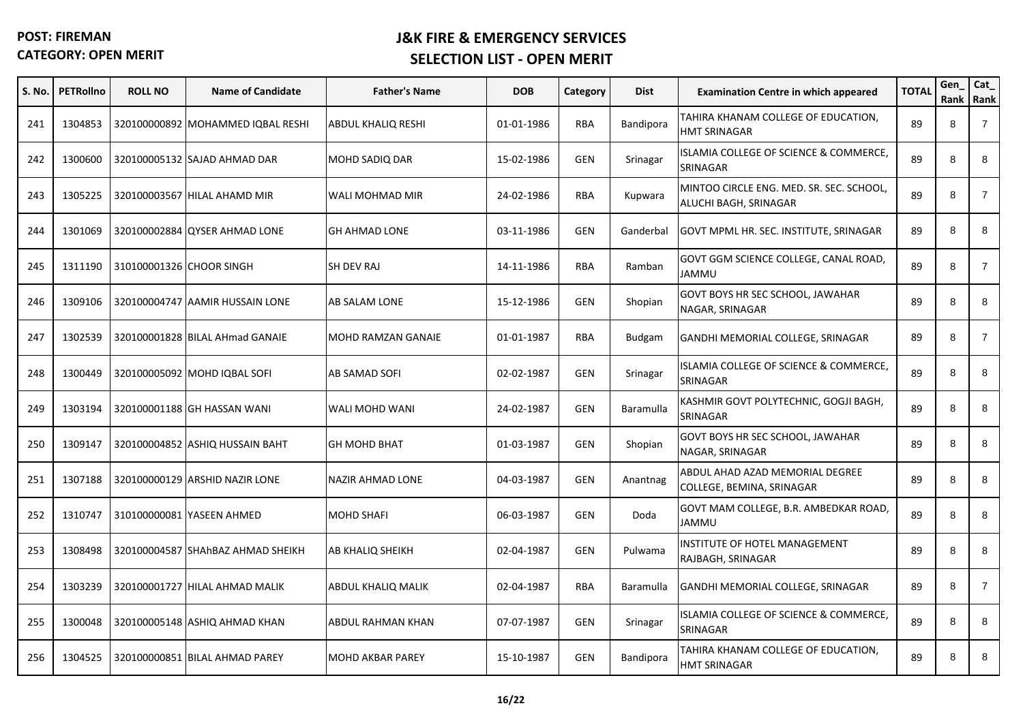| S. No. | <b>PETRollno</b> | <b>ROLL NO</b>           | <b>Name of Candidate</b>          | <b>Father's Name</b>      | <b>DOB</b> | Category   | <b>Dist</b>   | <b>Examination Centre in which appeared</b>                       | <b>TOTAL</b> | Gen<br>Rank | Cat_<br>Rank   |
|--------|------------------|--------------------------|-----------------------------------|---------------------------|------------|------------|---------------|-------------------------------------------------------------------|--------------|-------------|----------------|
| 241    | 1304853          |                          | 320100000892 MOHAMMED IQBAL RESHI | <b>ABDUL KHALIQ RESHI</b> | 01-01-1986 | <b>RBA</b> | Bandipora     | TAHIRA KHANAM COLLEGE OF EDUCATION,<br>HMT SRINAGAR               | 89           | 8           | $\overline{7}$ |
| 242    | 1300600          |                          | 320100005132 SAJAD AHMAD DAR      | <b>MOHD SADIQ DAR</b>     | 15-02-1986 | <b>GEN</b> | Srinagar      | ISLAMIA COLLEGE OF SCIENCE & COMMERCE,<br>SRINAGAR                | 89           | 8           | 8              |
| 243    | 1305225          |                          | 320100003567 HILAL AHAMD MIR      | WALI MOHMAD MIR           | 24-02-1986 | <b>RBA</b> | Kupwara       | MINTOO CIRCLE ENG. MED. SR. SEC. SCHOOL,<br>ALUCHI BAGH, SRINAGAR | 89           | 8           | $\overline{7}$ |
| 244    | 1301069          |                          | 320100002884 QYSER AHMAD LONE     | <b>GH AHMAD LONE</b>      | 03-11-1986 | <b>GEN</b> | Ganderbal     | GOVT MPML HR. SEC. INSTITUTE, SRINAGAR                            | 89           | 8           | 8              |
| 245    | 1311190          | 310100001326 CHOOR SINGH |                                   | SH DEV RAJ                | 14-11-1986 | <b>RBA</b> | Ramban        | GOVT GGM SCIENCE COLLEGE, CANAL ROAD,<br><b>JAMMU</b>             | 89           | 8           | $\overline{7}$ |
| 246    | 1309106          |                          | 320100004747 AAMIR HUSSAIN LONE   | AB SALAM LONE             | 15-12-1986 | <b>GEN</b> | Shopian       | GOVT BOYS HR SEC SCHOOL, JAWAHAR<br>NAGAR, SRINAGAR               | 89           | 8           | 8              |
| 247    | 1302539          |                          | 320100001828 BILAL AHmad GANAIE   | <b>MOHD RAMZAN GANAIE</b> | 01-01-1987 | <b>RBA</b> | <b>Budgam</b> | GANDHI MEMORIAL COLLEGE, SRINAGAR                                 | 89           | 8           | $\overline{7}$ |
| 248    | 1300449          |                          | 320100005092 MOHD IQBAL SOFI      | AB SAMAD SOFI             | 02-02-1987 | <b>GEN</b> | Srinagar      | <b>ISLAMIA COLLEGE OF SCIENCE &amp; COMMERCE,</b><br>SRINAGAR     | 89           | 8           | 8              |
| 249    | 1303194          |                          | 320100001188 GH HASSAN WANI       | WALI MOHD WANI            | 24-02-1987 | <b>GEN</b> | Baramulla     | KASHMIR GOVT POLYTECHNIC, GOGJI BAGH,<br>SRINAGAR                 | 89           | 8           | 8              |
| 250    | 1309147          |                          | 320100004852 ASHIQ HUSSAIN BAHT   | <b>GH MOHD BHAT</b>       | 01-03-1987 | <b>GEN</b> | Shopian       | GOVT BOYS HR SEC SCHOOL, JAWAHAR<br>NAGAR, SRINAGAR               | 89           | 8           | 8              |
| 251    | 1307188          |                          | 320100000129 ARSHID NAZIR LONE    | NAZIR AHMAD LONE          | 04-03-1987 | <b>GEN</b> | Anantnag      | ABDUL AHAD AZAD MEMORIAL DEGREE<br>COLLEGE, BEMINA, SRINAGAR      | 89           | 8           | 8              |
| 252    | 1310747          |                          | 310100000081 YASEEN AHMED         | <b>MOHD SHAFI</b>         | 06-03-1987 | <b>GEN</b> | Doda          | GOVT MAM COLLEGE, B.R. AMBEDKAR ROAD,<br>JAMMU                    | 89           | 8           | 8              |
| 253    | 1308498          |                          | 320100004587 SHAhBAZ AHMAD SHEIKH | AB KHALIQ SHEIKH          | 02-04-1987 | <b>GEN</b> | Pulwama       | INSTITUTE OF HOTEL MANAGEMENT<br>RAJBAGH, SRINAGAR                | 89           | 8           | 8              |
| 254    | 1303239          |                          | 320100001727 HILAL AHMAD MALIK    | ABDUL KHALIQ MALIK        | 02-04-1987 | RBA        | Baramulla     | GANDHI MEMORIAL COLLEGE, SRINAGAR                                 | 89           | 8           | $\overline{7}$ |
| 255    | 1300048          |                          | 320100005148 ASHIQ AHMAD KHAN     | ABDUL RAHMAN KHAN         | 07-07-1987 | GEN        | Srinagar      | ISLAMIA COLLEGE OF SCIENCE & COMMERCE,<br>SRINAGAR                | 89           | 8           | 8              |
| 256    | 1304525          |                          | 320100000851 BILAL AHMAD PAREY    | <b>MOHD AKBAR PAREY</b>   | 15-10-1987 | <b>GEN</b> | Bandipora     | TAHIRA KHANAM COLLEGE OF EDUCATION,<br><b>HMT SRINAGAR</b>        | 89           | 8           | 8              |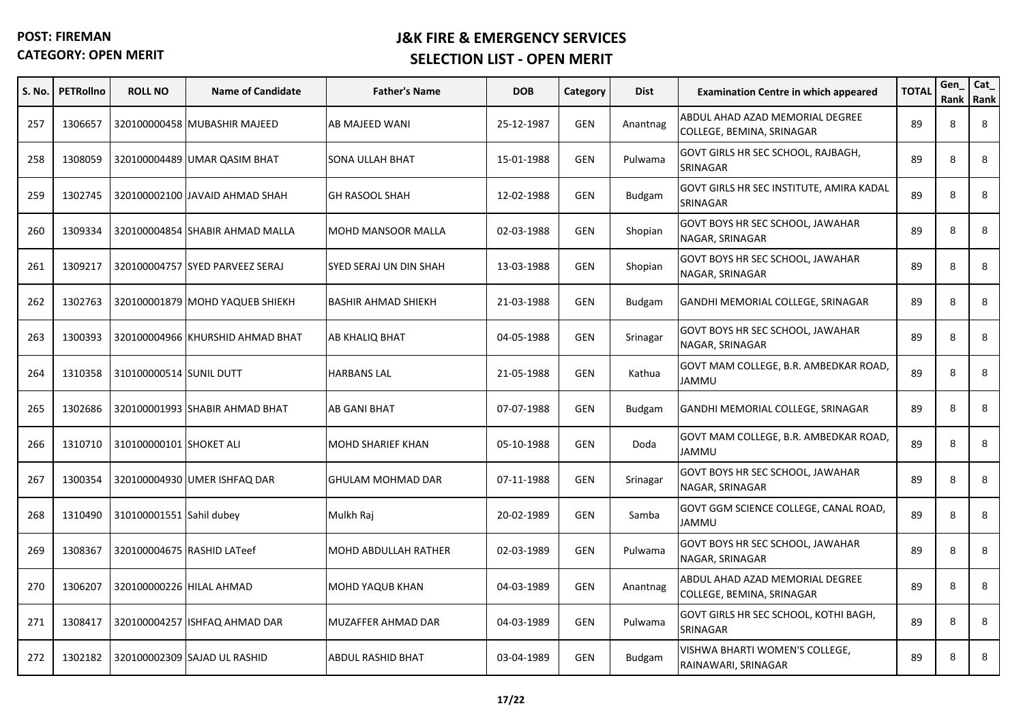| S. No. | <b>PETRollno</b> | <b>ROLL NO</b>           | <b>Name of Candidate</b>         | <b>Father's Name</b>       | <b>DOB</b> | Category   | <b>Dist</b>   | <b>Examination Centre in which appeared</b>                  | <b>TOTAL</b> | Gen<br>Rank | Cat_<br>Rank |
|--------|------------------|--------------------------|----------------------------------|----------------------------|------------|------------|---------------|--------------------------------------------------------------|--------------|-------------|--------------|
| 257    | 1306657          |                          | 320100000458 MUBASHIR MAJEED     | AB MAJEED WANI             | 25-12-1987 | <b>GEN</b> | Anantnag      | ABDUL AHAD AZAD MEMORIAL DEGREE<br>COLLEGE, BEMINA, SRINAGAR | 89           | 8           | 8            |
| 258    | 1308059          |                          | 320100004489 UMAR QASIM BHAT     | SONA ULLAH BHAT            | 15-01-1988 | <b>GEN</b> | Pulwama       | GOVT GIRLS HR SEC SCHOOL, RAJBAGH,<br>SRINAGAR               | 89           | 8           | 8            |
| 259    | 1302745          |                          | 320100002100 JAVAID AHMAD SHAH   | <b>GH RASOOL SHAH</b>      | 12-02-1988 | <b>GEN</b> | <b>Budgam</b> | GOVT GIRLS HR SEC INSTITUTE, AMIRA KADAL<br>SRINAGAR         | 89           | 8           | 8            |
| 260    | 1309334          |                          | 320100004854 SHABIR AHMAD MALLA  | MOHD MANSOOR MALLA         | 02-03-1988 | <b>GEN</b> | Shopian       | GOVT BOYS HR SEC SCHOOL, JAWAHAR<br>NAGAR, SRINAGAR          | 89           | 8           | 8            |
| 261    | 1309217          |                          | 320100004757 SYED PARVEEZ SERAJ  | SYED SERAJ UN DIN SHAH     | 13-03-1988 | <b>GEN</b> | Shopian       | GOVT BOYS HR SEC SCHOOL, JAWAHAR<br>NAGAR, SRINAGAR          | 89           | 8           | 8            |
| 262    | 1302763          |                          | 320100001879 MOHD YAQUEB SHIEKH  | <b>BASHIR AHMAD SHIEKH</b> | 21-03-1988 | <b>GEN</b> | <b>Budgam</b> | GANDHI MEMORIAL COLLEGE, SRINAGAR                            | 89           | 8           | 8            |
| 263    | 1300393          |                          | 320100004966 KHURSHID AHMAD BHAT | AB KHALIQ BHAT             | 04-05-1988 | <b>GEN</b> | Srinagar      | GOVT BOYS HR SEC SCHOOL, JAWAHAR<br>NAGAR, SRINAGAR          | 89           | 8           | 8            |
| 264    | 1310358          | 310100000514 SUNIL DUTT  |                                  | <b>HARBANS LAL</b>         | 21-05-1988 | <b>GEN</b> | Kathua        | GOVT MAM COLLEGE, B.R. AMBEDKAR ROAD,<br>JAMMU               | 89           | 8           | 8            |
| 265    | 1302686          |                          | 320100001993 SHABIR AHMAD BHAT   | AB GANI BHAT               | 07-07-1988 | <b>GEN</b> | <b>Budgam</b> | GANDHI MEMORIAL COLLEGE, SRINAGAR                            | 89           | 8           | 8            |
| 266    | 1310710          | 310100000101 SHOKET ALI  |                                  | MOHD SHARIEF KHAN          | 05-10-1988 | <b>GEN</b> | Doda          | GOVT MAM COLLEGE, B.R. AMBEDKAR ROAD,<br>JAMMU               | 89           | 8           | 8            |
| 267    | 1300354          |                          | 320100004930 UMER ISHFAQ DAR     | GHULAM MOHMAD DAR          | 07-11-1988 | <b>GEN</b> | Srinagar      | GOVT BOYS HR SEC SCHOOL, JAWAHAR<br>NAGAR, SRINAGAR          | 89           | 8           | 8            |
| 268    | 1310490          | 310100001551 Sahil dubey |                                  | Mulkh Raj                  | 20-02-1989 | <b>GEN</b> | Samba         | GOVT GGM SCIENCE COLLEGE, CANAL ROAD,<br>UMMAL               | 89           | 8           | 8            |
| 269    | 1308367          |                          | 320100004675 RASHID LATeef       | MOHD ABDULLAH RATHER       | 02-03-1989 | <b>GEN</b> | Pulwama       | GOVT BOYS HR SEC SCHOOL, JAWAHAR<br>NAGAR, SRINAGAR          | 89           | 8           | 8            |
| 270    | 1306207          | 320100000226 HILAL AHMAD |                                  | <b>MOHD YAQUB KHAN</b>     | 04-03-1989 | <b>GEN</b> | Anantnag      | ABDUL AHAD AZAD MEMORIAL DEGREE<br>COLLEGE, BEMINA, SRINAGAR | 89           | 8           | 8            |
| 271    | 1308417          |                          | 320100004257 ISHFAQ AHMAD DAR    | MUZAFFER AHMAD DAR         | 04-03-1989 | <b>GEN</b> | Pulwama       | GOVT GIRLS HR SEC SCHOOL, KOTHI BAGH,<br>SRINAGAR            | 89           | 8           | 8            |
| 272    | 1302182          |                          | 320100002309 SAJAD UL RASHID     | <b>ABDUL RASHID BHAT</b>   | 03-04-1989 | <b>GEN</b> | <b>Budgam</b> | VISHWA BHARTI WOMEN'S COLLEGE,<br>RAINAWARI, SRINAGAR        | 89           | 8           | 8            |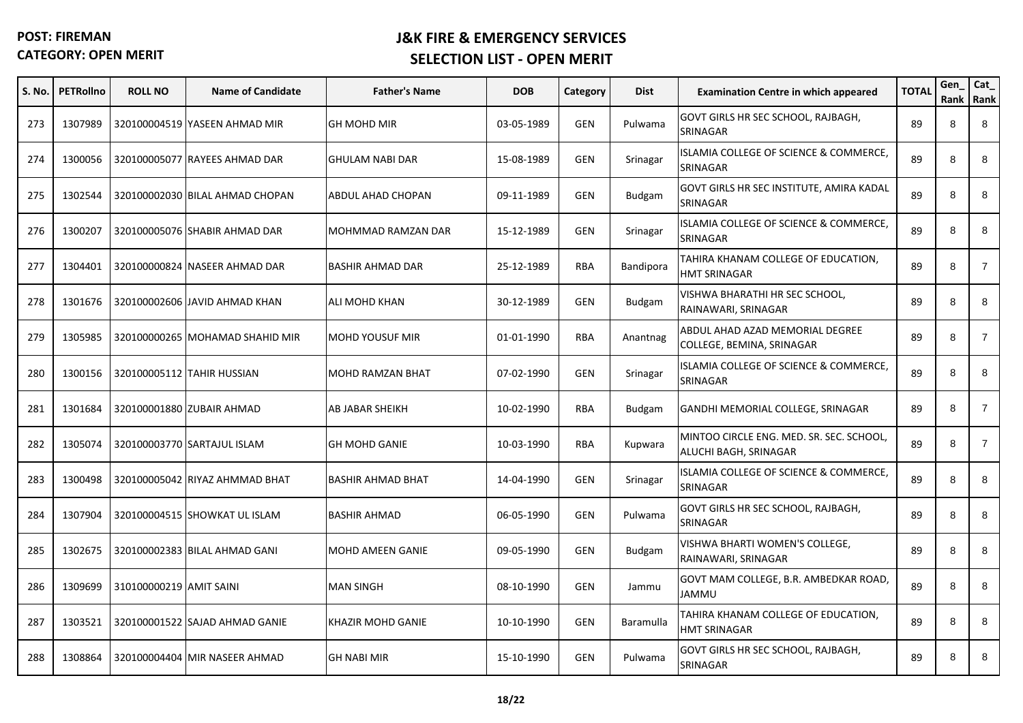| S. No. | <b>PETRollno</b> | <b>ROLL NO</b>          | <b>Name of Candidate</b>        | <b>Father's Name</b>     | <b>DOB</b> | Category   | <b>Dist</b>   | <b>Examination Centre in which appeared</b>                       | <b>TOTAL</b> | Gen<br>Rank | Cat_<br>Rank   |
|--------|------------------|-------------------------|---------------------------------|--------------------------|------------|------------|---------------|-------------------------------------------------------------------|--------------|-------------|----------------|
| 273    | 1307989          |                         | 320100004519 YASEEN AHMAD MIR   | <b>GH MOHD MIR</b>       | 03-05-1989 | <b>GEN</b> | Pulwama       | GOVT GIRLS HR SEC SCHOOL, RAJBAGH,<br>SRINAGAR                    | 89           | 8           | 8              |
| 274    | 1300056          |                         | 320100005077 RAYEES AHMAD DAR   | <b>GHULAM NABI DAR</b>   | 15-08-1989 | <b>GEN</b> | Srinagar      | ISLAMIA COLLEGE OF SCIENCE & COMMERCE,<br>SRINAGAR                | 89           | 8           | 8              |
| 275    | 1302544          |                         | 320100002030 BILAL AHMAD CHOPAN | ABDUL AHAD CHOPAN        | 09-11-1989 | <b>GEN</b> | <b>Budgam</b> | GOVT GIRLS HR SEC INSTITUTE, AMIRA KADAL<br>SRINAGAR              | 89           | 8           | 8              |
| 276    | 1300207          |                         | 320100005076 SHABIR AHMAD DAR   | MOHMMAD RAMZAN DAR       | 15-12-1989 | GEN        | Srinagar      | <b>SLAMIA COLLEGE OF SCIENCE &amp; COMMERCE,</b><br>SRINAGAR      | 89           | 8           | 8              |
| 277    | 1304401          |                         | 320100000824 NASEER AHMAD DAR   | <b>BASHIR AHMAD DAR</b>  | 25-12-1989 | <b>RBA</b> | Bandipora     | TAHIRA KHANAM COLLEGE OF EDUCATION,<br><b>HMT SRINAGAR</b>        | 89           | 8           | $\overline{7}$ |
| 278    | 1301676          |                         | 320100002606 JAVID AHMAD KHAN   | ALI MOHD KHAN            | 30-12-1989 | <b>GEN</b> | <b>Budgam</b> | VISHWA BHARATHI HR SEC SCHOOL,<br>RAINAWARI, SRINAGAR             | 89           | 8           | 8              |
| 279    | 1305985          |                         | 320100000265 MOHAMAD SHAHID MIR | <b>MOHD YOUSUF MIR</b>   | 01-01-1990 | <b>RBA</b> | Anantnag      | ABDUL AHAD AZAD MEMORIAL DEGREE<br>COLLEGE, BEMINA, SRINAGAR      | 89           | 8           | $\overline{7}$ |
| 280    | 1300156          |                         | 320100005112 TAHIR HUSSIAN      | <b>MOHD RAMZAN BHAT</b>  | 07-02-1990 | <b>GEN</b> | Srinagar      | ISLAMIA COLLEGE OF SCIENCE & COMMERCE,<br>SRINAGAR                | 89           | 8           | 8              |
| 281    | 1301684          |                         | 320100001880 ZUBAIR AHMAD       | AB JABAR SHEIKH          | 10-02-1990 | RBA        | Budgam        | GANDHI MEMORIAL COLLEGE, SRINAGAR                                 | 89           | 8           | $\overline{7}$ |
| 282    | 1305074          |                         | 320100003770 SARTAJUL ISLAM     | <b>GH MOHD GANIE</b>     | 10-03-1990 | <b>RBA</b> | Kupwara       | MINTOO CIRCLE ENG. MED. SR. SEC. SCHOOL,<br>ALUCHI BAGH, SRINAGAR | 89           | 8           | $\overline{7}$ |
| 283    | 1300498          |                         | 320100005042 RIYAZ AHMMAD BHAT  | <b>BASHIR AHMAD BHAT</b> | 14-04-1990 | <b>GEN</b> | Srinagar      | <b>ISLAMIA COLLEGE OF SCIENCE &amp; COMMERCE,</b><br>SRINAGAR     | 89           | 8           | 8              |
| 284    | 1307904          |                         | 320100004515 SHOWKAT UL ISLAM   | <b>BASHIR AHMAD</b>      | 06-05-1990 | <b>GEN</b> | Pulwama       | GOVT GIRLS HR SEC SCHOOL, RAJBAGH,<br>SRINAGAR                    | 89           | 8           | 8              |
| 285    | 1302675          |                         | 320100002383 BILAL AHMAD GANI   | MOHD AMEEN GANIE         | 09-05-1990 | <b>GEN</b> | Budgam        | VISHWA BHARTI WOMEN'S COLLEGE,<br>RAINAWARI, SRINAGAR             | 89           | 8           | 8              |
| 286    | 1309699          | 310100000219 AMIT SAINI |                                 | <b>MAN SINGH</b>         | 08-10-1990 | <b>GEN</b> | Jammu         | GOVT MAM COLLEGE, B.R. AMBEDKAR ROAD,<br><b>UMMAL</b>             | 89           | 8           | 8              |
| 287    | 1303521          |                         | 320100001522 SAJAD AHMAD GANIE  | KHAZIR MOHD GANIE        | 10-10-1990 | GEN        | Baramulla     | TAHIRA KHANAM COLLEGE OF EDUCATION,<br>HMT SRINAGAR               | 89           | 8           | 8              |
| 288    | 1308864          |                         | 320100004404 MIR NASEER AHMAD   | <b>GH NABI MIR</b>       | 15-10-1990 | <b>GEN</b> | Pulwama       | GOVT GIRLS HR SEC SCHOOL, RAJBAGH,<br>SRINAGAR                    | 89           | 8           | 8              |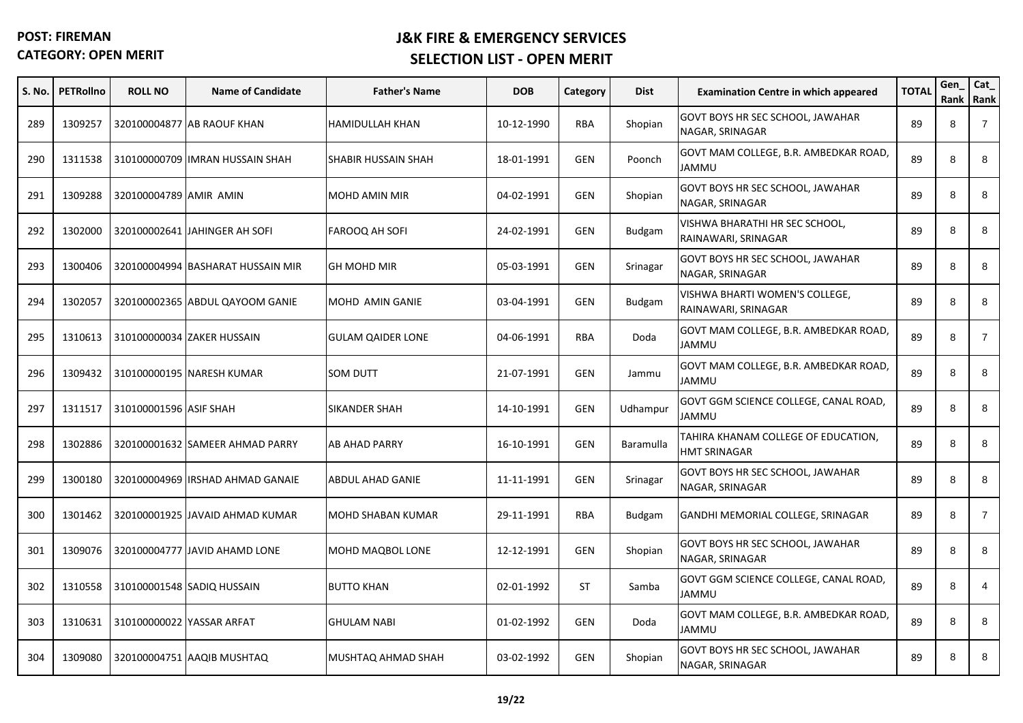| S. No. | <b>PETRollno</b> | <b>ROLL NO</b>         | <b>Name of Candidate</b>          | <b>Father's Name</b>     | <b>DOB</b> | Category   | <b>Dist</b>   | <b>Examination Centre in which appeared</b>           | <b>TOTAL</b> | Gen<br>Rank | Cat_<br>Rank   |
|--------|------------------|------------------------|-----------------------------------|--------------------------|------------|------------|---------------|-------------------------------------------------------|--------------|-------------|----------------|
| 289    | 1309257          |                        | 320100004877 AB RAOUF KHAN        | <b>HAMIDULLAH KHAN</b>   | 10-12-1990 | <b>RBA</b> | Shopian       | GOVT BOYS HR SEC SCHOOL, JAWAHAR<br>NAGAR, SRINAGAR   | 89           | 8           | $\overline{7}$ |
| 290    | 1311538          |                        | 310100000709 IMRAN HUSSAIN SHAH   | SHABIR HUSSAIN SHAH      | 18-01-1991 | <b>GEN</b> | Poonch        | GOVT MAM COLLEGE, B.R. AMBEDKAR ROAD,<br>UMMAL        | 89           | 8           | 8              |
| 291    | 1309288          | 320100004789 AMIR AMIN |                                   | MOHD AMIN MIR            | 04-02-1991 | GEN        | Shopian       | GOVT BOYS HR SEC SCHOOL, JAWAHAR<br>NAGAR, SRINAGAR   | 89           | 8           | 8              |
| 292    | 1302000          |                        | 320100002641 JAHINGER AH SOFI     | FAROOQ AH SOFI           | 24-02-1991 | <b>GEN</b> | Budgam        | VISHWA BHARATHI HR SEC SCHOOL,<br>RAINAWARI, SRINAGAR | 89           | 8           | 8              |
| 293    | 1300406          |                        | 320100004994 BASHARAT HUSSAIN MIR | <b>GH MOHD MIR</b>       | 05-03-1991 | <b>GEN</b> | Srinagar      | GOVT BOYS HR SEC SCHOOL, JAWAHAR<br>NAGAR, SRINAGAR   | 89           | 8           | 8              |
| 294    | 1302057          |                        | 320100002365 ABDUL QAYOOM GANIE   | MOHD AMIN GANIE          | 03-04-1991 | <b>GEN</b> | <b>Budgam</b> | VISHWA BHARTI WOMEN'S COLLEGE,<br>RAINAWARI, SRINAGAR | 89           | 8           | 8              |
| 295    | 1310613          |                        | 310100000034 ZAKER HUSSAIN        | <b>GULAM QAIDER LONE</b> | 04-06-1991 | <b>RBA</b> | Doda          | GOVT MAM COLLEGE, B.R. AMBEDKAR ROAD,<br>UMMAL        | 89           | 8           | $\overline{7}$ |
| 296    | 1309432          |                        | 310100000195 NARESH KUMAR         | <b>SOM DUTT</b>          | 21-07-1991 | GEN        | Jammu         | GOVT MAM COLLEGE, B.R. AMBEDKAR ROAD,<br>JAMMU        | 89           | 8           | 8              |
| 297    | 1311517          | 310100001596 ASIF SHAH |                                   | <b>SIKANDER SHAH</b>     | 14-10-1991 | <b>GEN</b> | Udhampur      | GOVT GGM SCIENCE COLLEGE, CANAL ROAD,<br>UMMAL        | 89           | 8           | 8              |
| 298    | 1302886          |                        | 320100001632 SAMEER AHMAD PARRY   | AB AHAD PARRY            | 16-10-1991 | <b>GEN</b> | Baramulla     | TAHIRA KHANAM COLLEGE OF EDUCATION,<br>HMT SRINAGAR   | 89           | 8           | 8              |
| 299    | 1300180          |                        | 320100004969 IRSHAD AHMAD GANAIE  | ABDUL AHAD GANIE         | 11-11-1991 | <b>GEN</b> | Srinagar      | GOVT BOYS HR SEC SCHOOL, JAWAHAR<br>NAGAR, SRINAGAR   | 89           | 8           | 8              |
| 300    | 1301462          |                        | 320100001925 JAVAID AHMAD KUMAR   | <b>MOHD SHABAN KUMAR</b> | 29-11-1991 | <b>RBA</b> | <b>Budgam</b> | GANDHI MEMORIAL COLLEGE, SRINAGAR                     | 89           | 8           | $\overline{7}$ |
| 301    | 1309076          |                        | 320100004777 JAVID AHAMD LONE     | MOHD MAQBOL LONE         | 12-12-1991 | <b>GEN</b> | Shopian       | GOVT BOYS HR SEC SCHOOL, JAWAHAR<br>NAGAR, SRINAGAR   | 89           | 8           | 8              |
| 302    | 1310558          |                        | 310100001548 SADIQ HUSSAIN        | <b>BUTTO KHAN</b>        | 02-01-1992 | <b>ST</b>  | Samba         | GOVT GGM SCIENCE COLLEGE, CANAL ROAD,<br>JAMMU        | 89           | 8           | 4              |
| 303    | 1310631          |                        | 310100000022 YASSAR ARFAT         | <b>GHULAM NABI</b>       | 01-02-1992 | <b>GEN</b> | Doda          | GOVT MAM COLLEGE, B.R. AMBEDKAR ROAD,<br>JAMMU        | 89           | 8           | 8              |
| 304    | 1309080          |                        | 320100004751 AAQIB MUSHTAQ        | MUSHTAQ AHMAD SHAH       | 03-02-1992 | <b>GEN</b> | Shopian       | GOVT BOYS HR SEC SCHOOL, JAWAHAR<br>NAGAR, SRINAGAR   | 89           | 8           | 8              |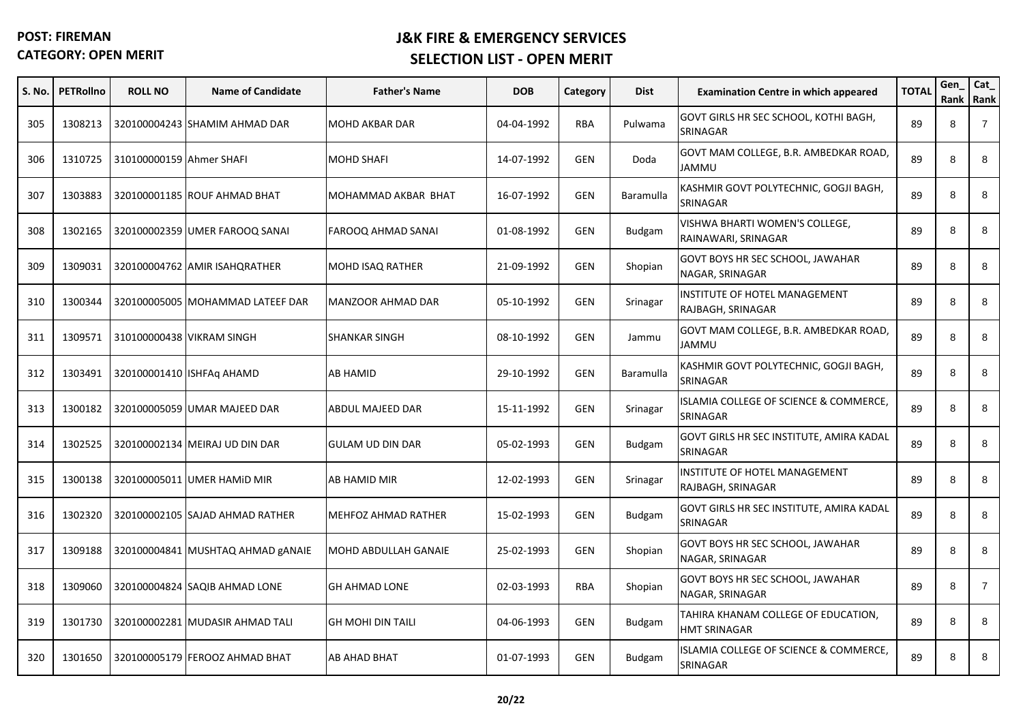| <b>S. No.</b> | <b>PETRollno</b> | <b>ROLL NO</b>           | <b>Name of Candidate</b>          | <b>Father's Name</b>        | <b>DOB</b> | Category   | <b>Dist</b>      | <b>Examination Centre in which appeared</b>                | <b>TOTAL</b> | Gen<br>Rank | Cat_<br>Rank   |
|---------------|------------------|--------------------------|-----------------------------------|-----------------------------|------------|------------|------------------|------------------------------------------------------------|--------------|-------------|----------------|
| 305           | 1308213          |                          | 320100004243 SHAMIM AHMAD DAR     | <b>MOHD AKBAR DAR</b>       | 04-04-1992 | <b>RBA</b> | Pulwama          | GOVT GIRLS HR SEC SCHOOL, KOTHI BAGH,<br>SRINAGAR          | 89           | 8           | $\overline{7}$ |
| 306           | 1310725          | 310100000159 Ahmer SHAFI |                                   | <b>MOHD SHAFI</b>           | 14-07-1992 | <b>GEN</b> | Doda             | GOVT MAM COLLEGE, B.R. AMBEDKAR ROAD,<br>JAMMU             | 89           | 8           | 8              |
| 307           | 1303883          |                          | 320100001185 ROUF AHMAD BHAT      | MOHAMMAD AKBAR BHAT         | 16-07-1992 | <b>GEN</b> | <b>Baramulla</b> | KASHMIR GOVT POLYTECHNIC, GOGJI BAGH,<br>SRINAGAR          | 89           | 8           | 8              |
| 308           | 1302165          |                          | 320100002359 UMER FAROOQ SANAI    | <b>FAROOQ AHMAD SANAI</b>   | 01-08-1992 | <b>GEN</b> | <b>Budgam</b>    | VISHWA BHARTI WOMEN'S COLLEGE,<br>RAINAWARI, SRINAGAR      | 89           | 8           | 8              |
| 309           | 1309031          |                          | 320100004762 AMIR ISAHQRATHER     | <b>MOHD ISAQ RATHER</b>     | 21-09-1992 | <b>GEN</b> | Shopian          | GOVT BOYS HR SEC SCHOOL, JAWAHAR<br>NAGAR, SRINAGAR        | 89           | 8           | 8              |
| 310           | 1300344          |                          | 320100005005 MOHAMMAD LATEEF DAR  | <b>MANZOOR AHMAD DAR</b>    | 05-10-1992 | <b>GEN</b> | Srinagar         | INSTITUTE OF HOTEL MANAGEMENT<br>RAJBAGH, SRINAGAR         | 89           | 8           | 8              |
| 311           | 1309571          |                          | 310100000438 VIKRAM SINGH         | <b>SHANKAR SINGH</b>        | 08-10-1992 | <b>GEN</b> | Jammu            | GOVT MAM COLLEGE, B.R. AMBEDKAR ROAD,<br><b>JAMMU</b>      | 89           | 8           | 8              |
| 312           | 1303491          |                          | 320100001410 ISHFAq AHAMD         | <b>AB HAMID</b>             | 29-10-1992 | <b>GEN</b> | <b>Baramulla</b> | KASHMIR GOVT POLYTECHNIC, GOGJI BAGH,<br>SRINAGAR          | 89           | 8           | 8              |
| 313           | 1300182          |                          | 320100005059 UMAR MAJEED DAR      | ABDUL MAJEED DAR            | 15-11-1992 | <b>GEN</b> | Srinagar         | ISLAMIA COLLEGE OF SCIENCE & COMMERCE,<br>SRINAGAR         | 89           | 8           | 8              |
| 314           | 1302525          |                          | 320100002134 MEIRAJ UD DIN DAR    | <b>GULAM UD DIN DAR</b>     | 05-02-1993 | <b>GEN</b> | Budgam           | GOVT GIRLS HR SEC INSTITUTE, AMIRA KADAL<br>SRINAGAR       | 89           | 8           | 8              |
| 315           | 1300138          |                          | 320100005011 UMER HAMID MIR       | <b>AB HAMID MIR</b>         | 12-02-1993 | <b>GEN</b> | Srinagar         | INSTITUTE OF HOTEL MANAGEMENT<br>RAJBAGH, SRINAGAR         | 89           | 8           | 8              |
| 316           | 1302320          |                          | 320100002105 SAJAD AHMAD RATHER   | <b>MEHFOZ AHMAD RATHER</b>  | 15-02-1993 | <b>GEN</b> | <b>Budgam</b>    | GOVT GIRLS HR SEC INSTITUTE, AMIRA KADAL<br>SRINAGAR       | 89           | 8           | 8              |
| 317           | 1309188          |                          | 320100004841 MUSHTAQ AHMAD gANAIE | <b>MOHD ABDULLAH GANAIE</b> | 25-02-1993 | <b>GEN</b> | Shopian          | GOVT BOYS HR SEC SCHOOL, JAWAHAR<br>NAGAR, SRINAGAR        | 89           | 8           | 8              |
| 318           | 1309060          |                          | 320100004824 SAQIB AHMAD LONE     | <b>GH AHMAD LONE</b>        | 02-03-1993 | RBA        | Shopian          | GOVT BOYS HR SEC SCHOOL, JAWAHAR<br>NAGAR, SRINAGAR        | 89           | 8           | $\overline{7}$ |
| 319           | 1301730          |                          | 320100002281 MUDASIR AHMAD TALI   | <b>GH MOHI DIN TAILI</b>    | 04-06-1993 | <b>GEN</b> | <b>Budgam</b>    | TAHIRA KHANAM COLLEGE OF EDUCATION,<br><b>HMT SRINAGAR</b> | 89           | 8           | 8              |
| 320           | 1301650          |                          | 320100005179 FEROOZ AHMAD BHAT    | <b>AB AHAD BHAT</b>         | 01-07-1993 | <b>GEN</b> | <b>Budgam</b>    | ISLAMIA COLLEGE OF SCIENCE & COMMERCE,<br><b>SRINAGAR</b>  | 89           | 8           | 8              |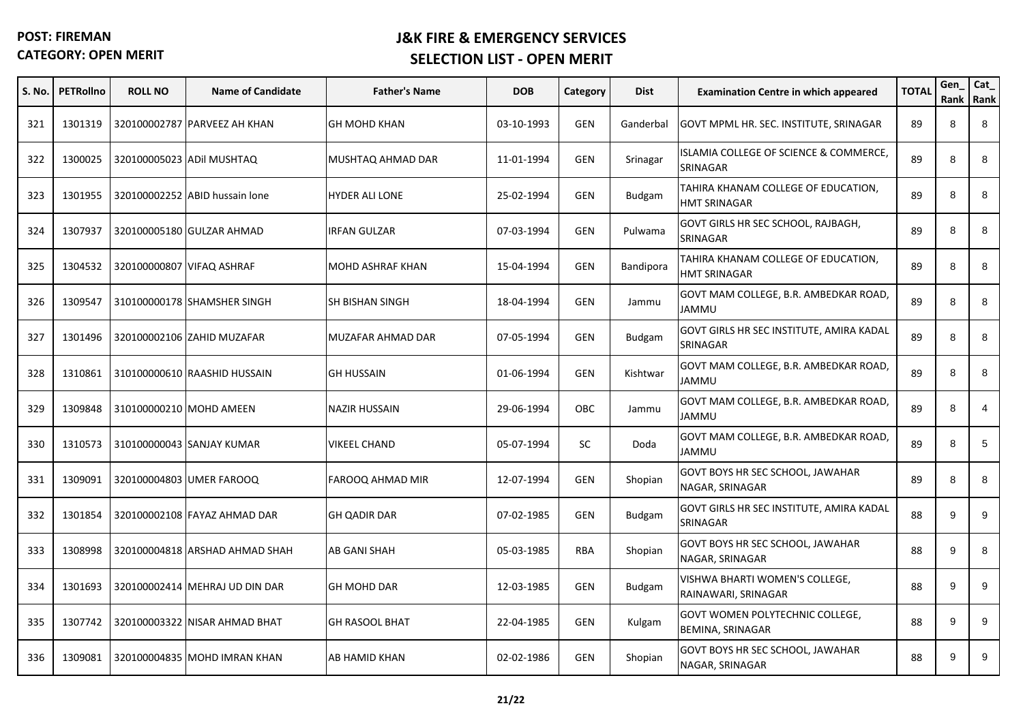| S. No. | <b>PETRollno</b> | <b>ROLL NO</b>            | <b>Name of Candidate</b>       | <b>Father's Name</b>  | <b>DOB</b> | Category   | <b>Dist</b>   | <b>Examination Centre in which appeared</b>                | <b>TOTAL</b> | Gen | Cat_<br>Rank Rank |
|--------|------------------|---------------------------|--------------------------------|-----------------------|------------|------------|---------------|------------------------------------------------------------|--------------|-----|-------------------|
| 321    | 1301319          |                           | 320100002787 PARVEEZ AH KHAN   | <b>GH MOHD KHAN</b>   | 03-10-1993 | <b>GEN</b> | Ganderbal     | GOVT MPML HR. SEC. INSTITUTE, SRINAGAR                     | 89           | 8   | 8                 |
| 322    | 1300025          |                           | 320100005023 ADil MUSHTAQ      | MUSHTAQ AHMAD DAR     | 11-01-1994 | <b>GEN</b> | Srinagar      | ISLAMIA COLLEGE OF SCIENCE & COMMERCE,<br>SRINAGAR         | 89           | 8   | 8                 |
| 323    | 1301955          |                           | 320100002252 ABID hussain lone | <b>HYDER ALI LONE</b> | 25-02-1994 | <b>GEN</b> | <b>Budgam</b> | TAHIRA KHANAM COLLEGE OF EDUCATION,<br><b>HMT SRINAGAR</b> | 89           | 8   | 8                 |
| 324    | 1307937          |                           | 320100005180 GULZAR AHMAD      | IRFAN GULZAR          | 07-03-1994 | <b>GEN</b> | Pulwama       | GOVT GIRLS HR SEC SCHOOL, RAJBAGH,<br>SRINAGAR             | 89           | 8   | 8                 |
| 325    | 1304532          | 320100000807 VIFAQ ASHRAF |                                | MOHD ASHRAF KHAN      | 15-04-1994 | <b>GEN</b> | Bandipora     | TAHIRA KHANAM COLLEGE OF EDUCATION,<br><b>HMT SRINAGAR</b> | 89           | 8   | 8                 |
| 326    | 1309547          |                           | 310100000178 SHAMSHER SINGH    | SH BISHAN SINGH       | 18-04-1994 | <b>GEN</b> | Jammu         | GOVT MAM COLLEGE, B.R. AMBEDKAR ROAD,<br>JAMMU             | 89           | 8   | 8                 |
| 327    | 1301496          |                           | 320100002106 ZAHID MUZAFAR     | MUZAFAR AHMAD DAR     | 07-05-1994 | <b>GEN</b> | <b>Budgam</b> | GOVT GIRLS HR SEC INSTITUTE, AMIRA KADAL<br>SRINAGAR       | 89           | 8   | 8                 |
| 328    | 1310861          |                           | 310100000610 RAASHID HUSSAIN   | <b>GH HUSSAIN</b>     | 01-06-1994 | <b>GEN</b> | Kishtwar      | GOVT MAM COLLEGE, B.R. AMBEDKAR ROAD,<br>JAMMU             | 89           | 8   | 8                 |
| 329    | 1309848          |                           | 310100000210 MOHD AMEEN        | <b>NAZIR HUSSAIN</b>  | 29-06-1994 | <b>OBC</b> | Jammu         | GOVT MAM COLLEGE, B.R. AMBEDKAR ROAD,<br><b>JAMMU</b>      | 89           | 8   | $\overline{4}$    |
| 330    | 1310573          |                           | 310100000043 SANJAY KUMAR      | <b>VIKEEL CHAND</b>   | 05-07-1994 | SC.        | Doda          | GOVT MAM COLLEGE, B.R. AMBEDKAR ROAD,<br><b>JAMMU</b>      | 89           | 8   | 5                 |
| 331    | 1309091          |                           | 320100004803 UMER FAROOQ       | FAROOQ AHMAD MIR      | 12-07-1994 | <b>GEN</b> | Shopian       | GOVT BOYS HR SEC SCHOOL, JAWAHAR<br>NAGAR, SRINAGAR        | 89           | 8   | 8                 |
| 332    | 1301854          |                           | 320100002108 FAYAZ AHMAD DAR   | <b>GH QADIR DAR</b>   | 07-02-1985 | <b>GEN</b> | <b>Budgam</b> | GOVT GIRLS HR SEC INSTITUTE, AMIRA KADAL<br>SRINAGAR       | 88           | 9   | 9                 |
| 333    | 1308998          |                           | 320100004818 ARSHAD AHMAD SHAH | <b>AB GANI SHAH</b>   | 05-03-1985 | <b>RBA</b> | Shopian       | GOVT BOYS HR SEC SCHOOL, JAWAHAR<br>NAGAR, SRINAGAR        | 88           | 9   | 8                 |
| 334    | 1301693          |                           | 320100002414 MEHRAJ UD DIN DAR | <b>GH MOHD DAR</b>    | 12-03-1985 | <b>GEN</b> | <b>Budgam</b> | VISHWA BHARTI WOMEN'S COLLEGE,<br>RAINAWARI, SRINAGAR      | 88           | 9   | 9                 |
| 335    | 1307742          |                           | 320100003322 NISAR AHMAD BHAT  | <b>GH RASOOL BHAT</b> | 22-04-1985 | <b>GEN</b> | Kulgam        | GOVT WOMEN POLYTECHNIC COLLEGE,<br>BEMINA, SRINAGAR        | 88           | 9   | 9                 |
| 336    | 1309081          |                           | 320100004835 MOHD IMRAN KHAN   | AB HAMID KHAN         | 02-02-1986 | <b>GEN</b> | Shopian       | GOVT BOYS HR SEC SCHOOL, JAWAHAR<br>NAGAR, SRINAGAR        | 88           | 9   | 9                 |